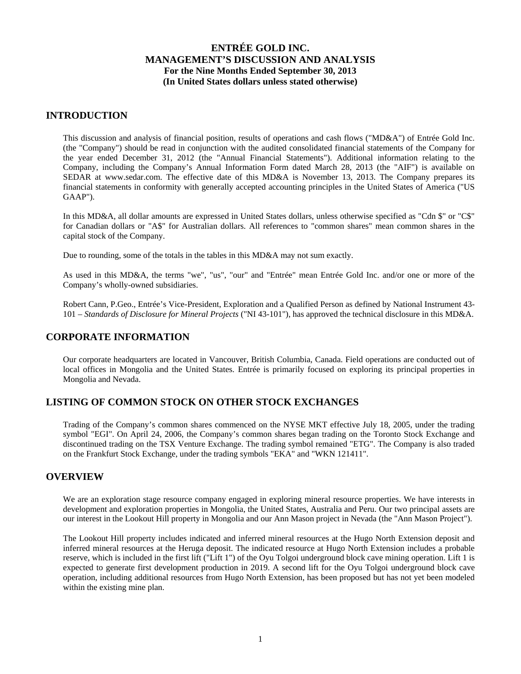### **INTRODUCTION**

This discussion and analysis of financial position, results of operations and cash flows ("MD&A") of Entrée Gold Inc. (the "Company") should be read in conjunction with the audited consolidated financial statements of the Company for the year ended December 31, 2012 (the "Annual Financial Statements"). Additional information relating to the Company, including the Company's Annual Information Form dated March 28, 2013 (the "AIF") is available on SEDAR at www.sedar.com. The effective date of this MD&A is November 13, 2013. The Company prepares its financial statements in conformity with generally accepted accounting principles in the United States of America ("US GAAP").

In this MD&A, all dollar amounts are expressed in United States dollars, unless otherwise specified as "Cdn \$" or "C\$" for Canadian dollars or "A\$" for Australian dollars. All references to "common shares" mean common shares in the capital stock of the Company.

Due to rounding, some of the totals in the tables in this MD&A may not sum exactly.

As used in this MD&A, the terms "we", "us", "our" and "Entrée" mean Entrée Gold Inc. and/or one or more of the Company's wholly-owned subsidiaries.

Robert Cann, P.Geo., Entrée's Vice-President, Exploration and a Qualified Person as defined by National Instrument 43- 101 – *Standards of Disclosure for Mineral Projects* ("NI 43-101"), has approved the technical disclosure in this MD&A.

# **CORPORATE INFORMATION**

Our corporate headquarters are located in Vancouver, British Columbia, Canada. Field operations are conducted out of local offices in Mongolia and the United States. Entrée is primarily focused on exploring its principal properties in Mongolia and Nevada.

# **LISTING OF COMMON STOCK ON OTHER STOCK EXCHANGES**

Trading of the Company's common shares commenced on the NYSE MKT effective July 18, 2005, under the trading symbol "EGI". On April 24, 2006, the Company's common shares began trading on the Toronto Stock Exchange and discontinued trading on the TSX Venture Exchange. The trading symbol remained "ETG". The Company is also traded on the Frankfurt Stock Exchange, under the trading symbols "EKA" and "WKN 121411".

### **OVERVIEW**

We are an exploration stage resource company engaged in exploring mineral resource properties. We have interests in development and exploration properties in Mongolia, the United States, Australia and Peru. Our two principal assets are our interest in the Lookout Hill property in Mongolia and our Ann Mason project in Nevada (the "Ann Mason Project").

The Lookout Hill property includes indicated and inferred mineral resources at the Hugo North Extension deposit and inferred mineral resources at the Heruga deposit. The indicated resource at Hugo North Extension includes a probable reserve, which is included in the first lift ("Lift 1") of the Oyu Tolgoi underground block cave mining operation. Lift 1 is expected to generate first development production in 2019. A second lift for the Oyu Tolgoi underground block cave operation, including additional resources from Hugo North Extension, has been proposed but has not yet been modeled within the existing mine plan.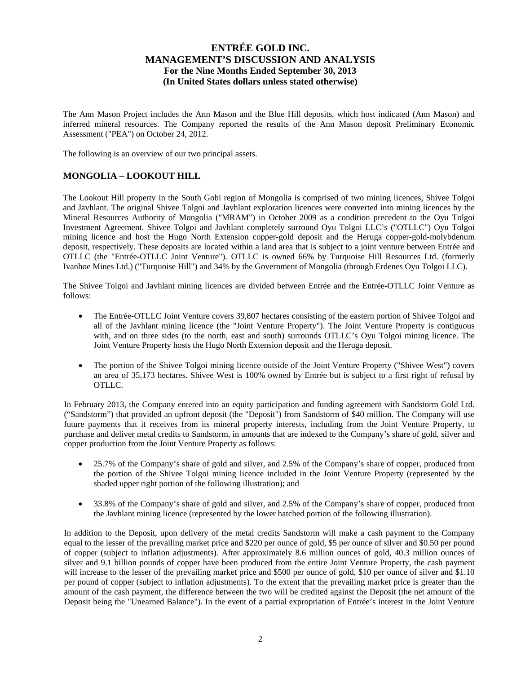The Ann Mason Project includes the Ann Mason and the Blue Hill deposits, which host indicated (Ann Mason) and inferred mineral resources. The Company reported the results of the Ann Mason deposit Preliminary Economic Assessment ("PEA") on October 24, 2012.

The following is an overview of our two principal assets.

# **MONGOLIA – LOOKOUT HILL**

The Lookout Hill property in the South Gobi region of Mongolia is comprised of two mining licences, Shivee Tolgoi and Javhlant. The original Shivee Tolgoi and Javhlant exploration licences were converted into mining licences by the Mineral Resources Authority of Mongolia ("MRAM") in October 2009 as a condition precedent to the Oyu Tolgoi Investment Agreement. Shivee Tolgoi and Javhlant completely surround Oyu Tolgoi LLC's ("OTLLC") Oyu Tolgoi mining licence and host the Hugo North Extension copper-gold deposit and the Heruga copper-gold-molybdenum deposit, respectively. These deposits are located within a land area that is subject to a joint venture between Entrée and OTLLC (the "Entrée-OTLLC Joint Venture"). OTLLC is owned 66% by Turquoise Hill Resources Ltd. (formerly Ivanhoe Mines Ltd.) ("Turquoise Hill") and 34% by the Government of Mongolia (through Erdenes Oyu Tolgoi LLC).

The Shivee Tolgoi and Javhlant mining licences are divided between Entrée and the Entrée-OTLLC Joint Venture as follows:

- The Entrée-OTLLC Joint Venture covers 39,807 hectares consisting of the eastern portion of Shivee Tolgoi and all of the Javhlant mining licence (the "Joint Venture Property"). The Joint Venture Property is contiguous with, and on three sides (to the north, east and south) surrounds OTLLC's Oyu Tolgoi mining licence. The Joint Venture Property hosts the Hugo North Extension deposit and the Heruga deposit.
- The portion of the Shivee Tolgoi mining licence outside of the Joint Venture Property ("Shivee West") covers an area of 35,173 hectares. Shivee West is 100% owned by Entrée but is subject to a first right of refusal by OTLLC.

In February 2013, the Company entered into an equity participation and funding agreement with Sandstorm Gold Ltd. ("Sandstorm") that provided an upfront deposit (the "Deposit") from Sandstorm of \$40 million. The Company will use future payments that it receives from its mineral property interests, including from the Joint Venture Property, to purchase and deliver metal credits to Sandstorm, in amounts that are indexed to the Company's share of gold, silver and copper production from the Joint Venture Property as follows:

- 25.7% of the Company's share of gold and silver, and 2.5% of the Company's share of copper, produced from the portion of the Shivee Tolgoi mining licence included in the Joint Venture Property (represented by the shaded upper right portion of the following illustration); and
- 33.8% of the Company's share of gold and silver, and 2.5% of the Company's share of copper, produced from the Javhlant mining licence (represented by the lower hatched portion of the following illustration).

In addition to the Deposit, upon delivery of the metal credits Sandstorm will make a cash payment to the Company equal to the lesser of the prevailing market price and \$220 per ounce of gold, \$5 per ounce of silver and \$0.50 per pound of copper (subject to inflation adjustments). After approximately 8.6 million ounces of gold, 40.3 million ounces of silver and 9.1 billion pounds of copper have been produced from the entire Joint Venture Property, the cash payment will increase to the lesser of the prevailing market price and \$500 per ounce of gold, \$10 per ounce of silver and \$1.10 per pound of copper (subject to inflation adjustments). To the extent that the prevailing market price is greater than the amount of the cash payment, the difference between the two will be credited against the Deposit (the net amount of the Deposit being the "Unearned Balance"). In the event of a partial expropriation of Entrée's interest in the Joint Venture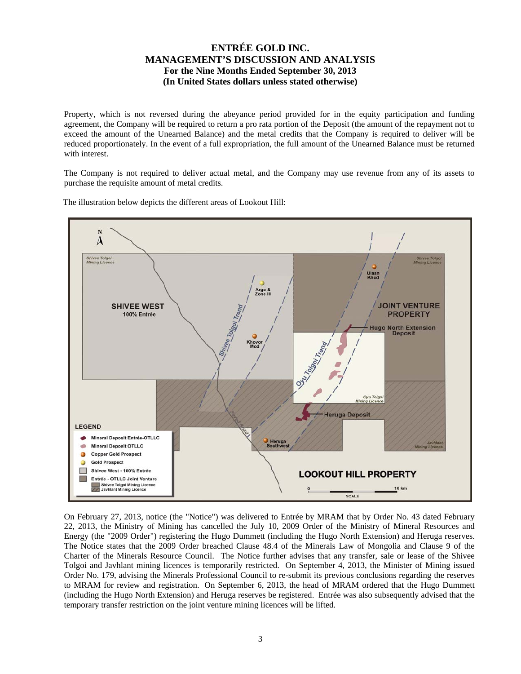Property, which is not reversed during the abeyance period provided for in the equity participation and funding agreement, the Company will be required to return a pro rata portion of the Deposit (the amount of the repayment not to exceed the amount of the Unearned Balance) and the metal credits that the Company is required to deliver will be reduced proportionately. In the event of a full expropriation, the full amount of the Unearned Balance must be returned with interest.

The Company is not required to deliver actual metal, and the Company may use revenue from any of its assets to purchase the requisite amount of metal credits.

The illustration below depicts the different areas of Lookout Hill:



On February 27, 2013, notice (the "Notice") was delivered to Entrée by MRAM that by Order No. 43 dated February 22, 2013, the Ministry of Mining has cancelled the July 10, 2009 Order of the Ministry of Mineral Resources and Energy (the "2009 Order") registering the Hugo Dummett (including the Hugo North Extension) and Heruga reserves. The Notice states that the 2009 Order breached Clause 48.4 of the Minerals Law of Mongolia and Clause 9 of the Charter of the Minerals Resource Council. The Notice further advises that any transfer, sale or lease of the Shivee Tolgoi and Javhlant mining licences is temporarily restricted. On September 4, 2013, the Minister of Mining issued Order No. 179, advising the Minerals Professional Council to re-submit its previous conclusions regarding the reserves to MRAM for review and registration. On September 6, 2013, the head of MRAM ordered that the Hugo Dummett (including the Hugo North Extension) and Heruga reserves be registered. Entrée was also subsequently advised that the temporary transfer restriction on the joint venture mining licences will be lifted.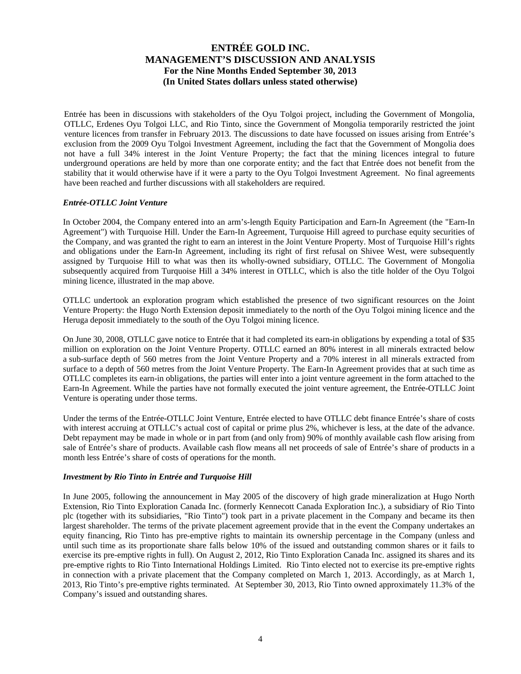Entrée has been in discussions with stakeholders of the Oyu Tolgoi project, including the Government of Mongolia, OTLLC, Erdenes Oyu Tolgoi LLC, and Rio Tinto, since the Government of Mongolia temporarily restricted the joint venture licences from transfer in February 2013. The discussions to date have focussed on issues arising from Entrée's exclusion from the 2009 Oyu Tolgoi Investment Agreement, including the fact that the Government of Mongolia does not have a full 34% interest in the Joint Venture Property; the fact that the mining licences integral to future underground operations are held by more than one corporate entity; and the fact that Entrée does not benefit from the stability that it would otherwise have if it were a party to the Oyu Tolgoi Investment Agreement. No final agreements have been reached and further discussions with all stakeholders are required.

### *Entrée-OTLLC Joint Venture*

In October 2004, the Company entered into an arm's-length Equity Participation and Earn-In Agreement (the "Earn-In Agreement") with Turquoise Hill. Under the Earn-In Agreement, Turquoise Hill agreed to purchase equity securities of the Company, and was granted the right to earn an interest in the Joint Venture Property. Most of Turquoise Hill's rights and obligations under the Earn-In Agreement, including its right of first refusal on Shivee West, were subsequently assigned by Turquoise Hill to what was then its wholly-owned subsidiary, OTLLC. The Government of Mongolia subsequently acquired from Turquoise Hill a 34% interest in OTLLC, which is also the title holder of the Oyu Tolgoi mining licence, illustrated in the map above.

OTLLC undertook an exploration program which established the presence of two significant resources on the Joint Venture Property: the Hugo North Extension deposit immediately to the north of the Oyu Tolgoi mining licence and the Heruga deposit immediately to the south of the Oyu Tolgoi mining licence.

On June 30, 2008, OTLLC gave notice to Entrée that it had completed its earn-in obligations by expending a total of \$35 million on exploration on the Joint Venture Property. OTLLC earned an 80% interest in all minerals extracted below a sub-surface depth of 560 metres from the Joint Venture Property and a 70% interest in all minerals extracted from surface to a depth of 560 metres from the Joint Venture Property. The Earn-In Agreement provides that at such time as OTLLC completes its earn-in obligations, the parties will enter into a joint venture agreement in the form attached to the Earn-In Agreement. While the parties have not formally executed the joint venture agreement, the Entrée-OTLLC Joint Venture is operating under those terms.

Under the terms of the Entrée-OTLLC Joint Venture, Entrée elected to have OTLLC debt finance Entrée's share of costs with interest accruing at OTLLC's actual cost of capital or prime plus 2%, whichever is less, at the date of the advance. Debt repayment may be made in whole or in part from (and only from) 90% of monthly available cash flow arising from sale of Entrée's share of products. Available cash flow means all net proceeds of sale of Entrée's share of products in a month less Entrée's share of costs of operations for the month.

#### *Investment by Rio Tinto in Entrée and Turquoise Hill*

In June 2005, following the announcement in May 2005 of the discovery of high grade mineralization at Hugo North Extension, Rio Tinto Exploration Canada Inc. (formerly Kennecott Canada Exploration Inc.), a subsidiary of Rio Tinto plc (together with its subsidiaries, "Rio Tinto") took part in a private placement in the Company and became its then largest shareholder. The terms of the private placement agreement provide that in the event the Company undertakes an equity financing, Rio Tinto has pre-emptive rights to maintain its ownership percentage in the Company (unless and until such time as its proportionate share falls below 10% of the issued and outstanding common shares or it fails to exercise its pre-emptive rights in full). On August 2, 2012, Rio Tinto Exploration Canada Inc. assigned its shares and its pre-emptive rights to Rio Tinto International Holdings Limited. Rio Tinto elected not to exercise its pre-emptive rights in connection with a private placement that the Company completed on March 1, 2013. Accordingly, as at March 1, 2013, Rio Tinto's pre-emptive rights terminated. At September 30, 2013, Rio Tinto owned approximately 11.3% of the Company's issued and outstanding shares.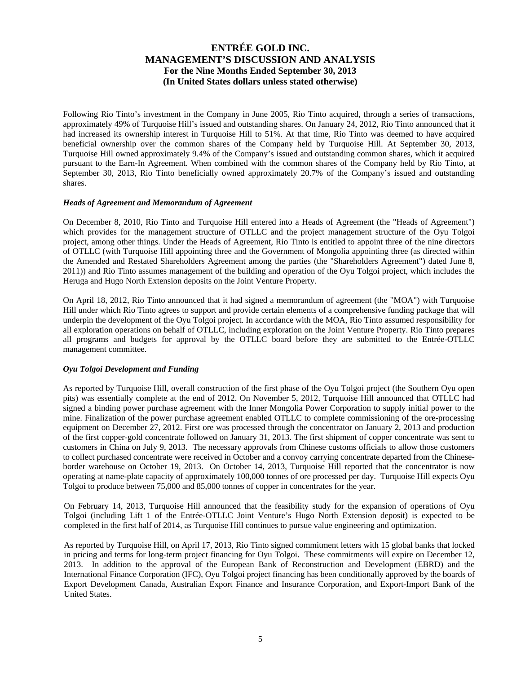Following Rio Tinto's investment in the Company in June 2005, Rio Tinto acquired, through a series of transactions, approximately 49% of Turquoise Hill's issued and outstanding shares. On January 24, 2012, Rio Tinto announced that it had increased its ownership interest in Turquoise Hill to 51%. At that time, Rio Tinto was deemed to have acquired beneficial ownership over the common shares of the Company held by Turquoise Hill. At September 30, 2013, Turquoise Hill owned approximately 9.4% of the Company's issued and outstanding common shares, which it acquired pursuant to the Earn-In Agreement. When combined with the common shares of the Company held by Rio Tinto, at September 30, 2013, Rio Tinto beneficially owned approximately 20.7% of the Company's issued and outstanding shares.

### *Heads of Agreement and Memorandum of Agreement*

On December 8, 2010, Rio Tinto and Turquoise Hill entered into a Heads of Agreement (the "Heads of Agreement") which provides for the management structure of OTLLC and the project management structure of the Oyu Tolgoi project, among other things. Under the Heads of Agreement, Rio Tinto is entitled to appoint three of the nine directors of OTLLC (with Turquoise Hill appointing three and the Government of Mongolia appointing three (as directed within the Amended and Restated Shareholders Agreement among the parties (the "Shareholders Agreement") dated June 8, 2011)) and Rio Tinto assumes management of the building and operation of the Oyu Tolgoi project, which includes the Heruga and Hugo North Extension deposits on the Joint Venture Property.

On April 18, 2012, Rio Tinto announced that it had signed a memorandum of agreement (the "MOA") with Turquoise Hill under which Rio Tinto agrees to support and provide certain elements of a comprehensive funding package that will underpin the development of the Oyu Tolgoi project. In accordance with the MOA, Rio Tinto assumed responsibility for all exploration operations on behalf of OTLLC, including exploration on the Joint Venture Property. Rio Tinto prepares all programs and budgets for approval by the OTLLC board before they are submitted to the Entrée-OTLLC management committee.

### *Oyu Tolgoi Development and Funding*

As reported by Turquoise Hill, overall construction of the first phase of the Oyu Tolgoi project (the Southern Oyu open pits) was essentially complete at the end of 2012. On November 5, 2012, Turquoise Hill announced that OTLLC had signed a binding power purchase agreement with the Inner Mongolia Power Corporation to supply initial power to the mine. Finalization of the power purchase agreement enabled OTLLC to complete commissioning of the ore-processing equipment on December 27, 2012. First ore was processed through the concentrator on January 2, 2013 and production of the first copper-gold concentrate followed on January 31, 2013. The first shipment of copper concentrate was sent to customers in China on July 9, 2013. The necessary approvals from Chinese customs officials to allow those customers to collect purchased concentrate were received in October and a convoy carrying concentrate departed from the Chineseborder warehouse on October 19, 2013. On October 14, 2013, Turquoise Hill reported that the concentrator is now operating at name-plate capacity of approximately 100,000 tonnes of ore processed per day. Turquoise Hill expects Oyu Tolgoi to produce between 75,000 and 85,000 tonnes of copper in concentrates for the year.

On February 14, 2013, Turquoise Hill announced that the feasibility study for the expansion of operations of Oyu Tolgoi (including Lift 1 of the Entrée-OTLLC Joint Venture's Hugo North Extension deposit) is expected to be completed in the first half of 2014, as Turquoise Hill continues to pursue value engineering and optimization.

As reported by Turquoise Hill, on April 17, 2013, Rio Tinto signed commitment letters with 15 global banks that locked in pricing and terms for long-term project financing for Oyu Tolgoi. These commitments will expire on December 12, 2013. In addition to the approval of the European Bank of Reconstruction and Development (EBRD) and the International Finance Corporation (IFC), Oyu Tolgoi project financing has been conditionally approved by the boards of Export Development Canada, Australian Export Finance and Insurance Corporation, and Export-Import Bank of the United States.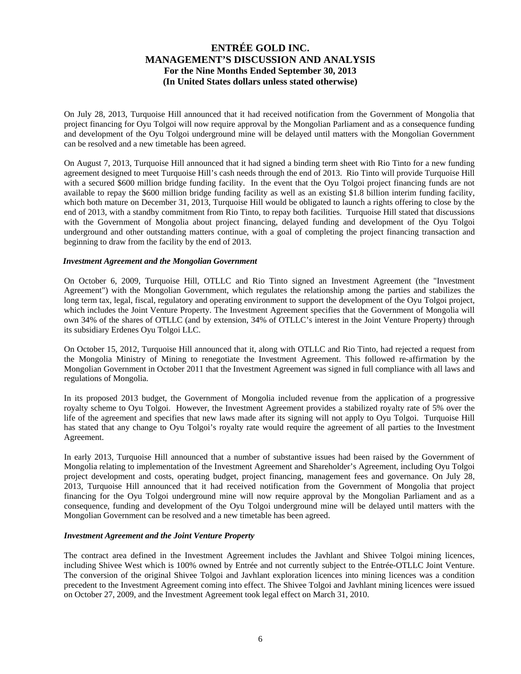On July 28, 2013, Turquoise Hill announced that it had received notification from the Government of Mongolia that project financing for Oyu Tolgoi will now require approval by the Mongolian Parliament and as a consequence funding and development of the Oyu Tolgoi underground mine will be delayed until matters with the Mongolian Government can be resolved and a new timetable has been agreed.

On August 7, 2013, Turquoise Hill announced that it had signed a binding term sheet with Rio Tinto for a new funding agreement designed to meet Turquoise Hill's cash needs through the end of 2013. Rio Tinto will provide Turquoise Hill with a secured \$600 million bridge funding facility. In the event that the Oyu Tolgoi project financing funds are not available to repay the \$600 million bridge funding facility as well as an existing \$1.8 billion interim funding facility, which both mature on December 31, 2013, Turquoise Hill would be obligated to launch a rights offering to close by the end of 2013, with a standby commitment from Rio Tinto, to repay both facilities. Turquoise Hill stated that discussions with the Government of Mongolia about project financing, delayed funding and development of the Oyu Tolgoi underground and other outstanding matters continue, with a goal of completing the project financing transaction and beginning to draw from the facility by the end of 2013.

### *Investment Agreement and the Mongolian Government*

On October 6, 2009, Turquoise Hill, OTLLC and Rio Tinto signed an Investment Agreement (the "Investment Agreement") with the Mongolian Government, which regulates the relationship among the parties and stabilizes the long term tax, legal, fiscal, regulatory and operating environment to support the development of the Oyu Tolgoi project, which includes the Joint Venture Property. The Investment Agreement specifies that the Government of Mongolia will own 34% of the shares of OTLLC (and by extension, 34% of OTLLC's interest in the Joint Venture Property) through its subsidiary Erdenes Oyu Tolgoi LLC.

On October 15, 2012, Turquoise Hill announced that it, along with OTLLC and Rio Tinto, had rejected a request from the Mongolia Ministry of Mining to renegotiate the Investment Agreement. This followed re-affirmation by the Mongolian Government in October 2011 that the Investment Agreement was signed in full compliance with all laws and regulations of Mongolia.

In its proposed 2013 budget, the Government of Mongolia included revenue from the application of a progressive royalty scheme to Oyu Tolgoi. However, the Investment Agreement provides a stabilized royalty rate of 5% over the life of the agreement and specifies that new laws made after its signing will not apply to Oyu Tolgoi. Turquoise Hill has stated that any change to Oyu Tolgoi's royalty rate would require the agreement of all parties to the Investment Agreement.

In early 2013, Turquoise Hill announced that a number of substantive issues had been raised by the Government of Mongolia relating to implementation of the Investment Agreement and Shareholder's Agreement, including Oyu Tolgoi project development and costs, operating budget, project financing, management fees and governance. On July 28, 2013, Turquoise Hill announced that it had received notification from the Government of Mongolia that project financing for the Oyu Tolgoi underground mine will now require approval by the Mongolian Parliament and as a consequence, funding and development of the Oyu Tolgoi underground mine will be delayed until matters with the Mongolian Government can be resolved and a new timetable has been agreed.

#### *Investment Agreement and the Joint Venture Property*

The contract area defined in the Investment Agreement includes the Javhlant and Shivee Tolgoi mining licences, including Shivee West which is 100% owned by Entrée and not currently subject to the Entrée-OTLLC Joint Venture. The conversion of the original Shivee Tolgoi and Javhlant exploration licences into mining licences was a condition precedent to the Investment Agreement coming into effect. The Shivee Tolgoi and Javhlant mining licences were issued on October 27, 2009, and the Investment Agreement took legal effect on March 31, 2010.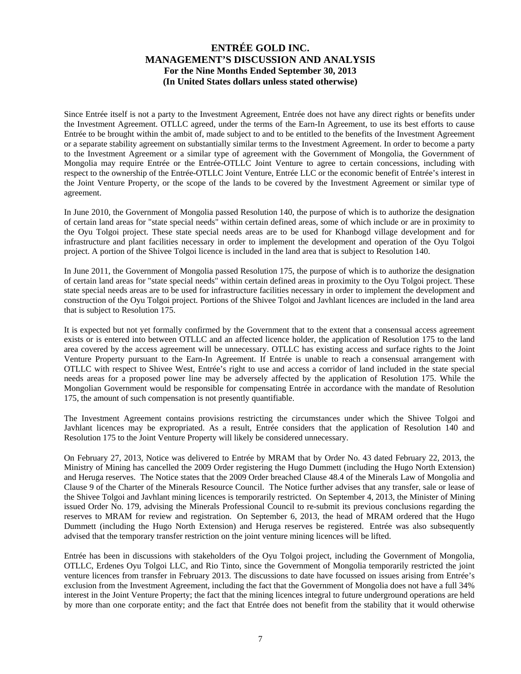Since Entrée itself is not a party to the Investment Agreement, Entrée does not have any direct rights or benefits under the Investment Agreement. OTLLC agreed, under the terms of the Earn-In Agreement, to use its best efforts to cause Entrée to be brought within the ambit of, made subject to and to be entitled to the benefits of the Investment Agreement or a separate stability agreement on substantially similar terms to the Investment Agreement. In order to become a party to the Investment Agreement or a similar type of agreement with the Government of Mongolia, the Government of Mongolia may require Entrée or the Entrée-OTLLC Joint Venture to agree to certain concessions, including with respect to the ownership of the Entrée-OTLLC Joint Venture, Entrée LLC or the economic benefit of Entrée's interest in the Joint Venture Property, or the scope of the lands to be covered by the Investment Agreement or similar type of agreement.

In June 2010, the Government of Mongolia passed Resolution 140, the purpose of which is to authorize the designation of certain land areas for "state special needs" within certain defined areas, some of which include or are in proximity to the Oyu Tolgoi project. These state special needs areas are to be used for Khanbogd village development and for infrastructure and plant facilities necessary in order to implement the development and operation of the Oyu Tolgoi project. A portion of the Shivee Tolgoi licence is included in the land area that is subject to Resolution 140.

In June 2011, the Government of Mongolia passed Resolution 175, the purpose of which is to authorize the designation of certain land areas for "state special needs" within certain defined areas in proximity to the Oyu Tolgoi project. These state special needs areas are to be used for infrastructure facilities necessary in order to implement the development and construction of the Oyu Tolgoi project. Portions of the Shivee Tolgoi and Javhlant licences are included in the land area that is subject to Resolution 175.

It is expected but not yet formally confirmed by the Government that to the extent that a consensual access agreement exists or is entered into between OTLLC and an affected licence holder, the application of Resolution 175 to the land area covered by the access agreement will be unnecessary. OTLLC has existing access and surface rights to the Joint Venture Property pursuant to the Earn-In Agreement. If Entrée is unable to reach a consensual arrangement with OTLLC with respect to Shivee West, Entrée's right to use and access a corridor of land included in the state special needs areas for a proposed power line may be adversely affected by the application of Resolution 175. While the Mongolian Government would be responsible for compensating Entrée in accordance with the mandate of Resolution 175, the amount of such compensation is not presently quantifiable.

The Investment Agreement contains provisions restricting the circumstances under which the Shivee Tolgoi and Javhlant licences may be expropriated. As a result, Entrée considers that the application of Resolution 140 and Resolution 175 to the Joint Venture Property will likely be considered unnecessary.

On February 27, 2013, Notice was delivered to Entrée by MRAM that by Order No. 43 dated February 22, 2013, the Ministry of Mining has cancelled the 2009 Order registering the Hugo Dummett (including the Hugo North Extension) and Heruga reserves. The Notice states that the 2009 Order breached Clause 48.4 of the Minerals Law of Mongolia and Clause 9 of the Charter of the Minerals Resource Council. The Notice further advises that any transfer, sale or lease of the Shivee Tolgoi and Javhlant mining licences is temporarily restricted. On September 4, 2013, the Minister of Mining issued Order No. 179, advising the Minerals Professional Council to re-submit its previous conclusions regarding the reserves to MRAM for review and registration. On September 6, 2013, the head of MRAM ordered that the Hugo Dummett (including the Hugo North Extension) and Heruga reserves be registered. Entrée was also subsequently advised that the temporary transfer restriction on the joint venture mining licences will be lifted.

Entrée has been in discussions with stakeholders of the Oyu Tolgoi project, including the Government of Mongolia, OTLLC, Erdenes Oyu Tolgoi LLC, and Rio Tinto, since the Government of Mongolia temporarily restricted the joint venture licences from transfer in February 2013. The discussions to date have focussed on issues arising from Entrée's exclusion from the Investment Agreement, including the fact that the Government of Mongolia does not have a full 34% interest in the Joint Venture Property; the fact that the mining licences integral to future underground operations are held by more than one corporate entity; and the fact that Entrée does not benefit from the stability that it would otherwise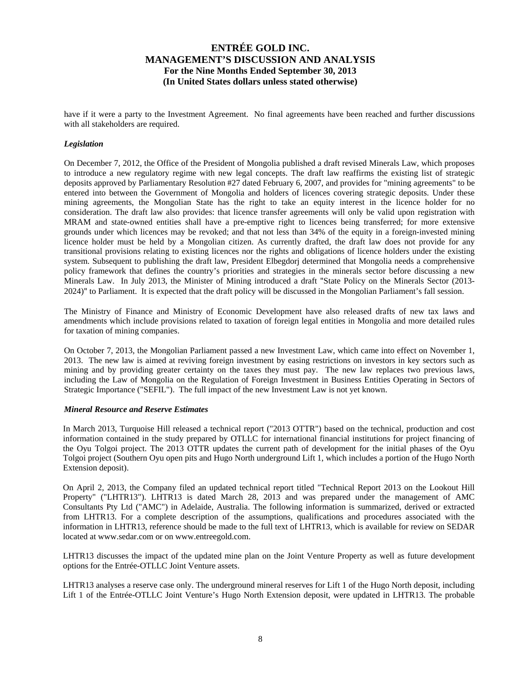have if it were a party to the Investment Agreement. No final agreements have been reached and further discussions with all stakeholders are required.

### *Legislation*

On December 7, 2012, the Office of the President of Mongolia published a draft revised Minerals Law, which proposes to introduce a new regulatory regime with new legal concepts. The draft law reaffirms the existing list of strategic deposits approved by Parliamentary Resolution #27 dated February 6, 2007, and provides for "mining agreements" to be entered into between the Government of Mongolia and holders of licences covering strategic deposits. Under these mining agreements, the Mongolian State has the right to take an equity interest in the licence holder for no consideration. The draft law also provides: that licence transfer agreements will only be valid upon registration with MRAM and state-owned entities shall have a pre-emptive right to licences being transferred; for more extensive grounds under which licences may be revoked; and that not less than 34% of the equity in a foreign-invested mining licence holder must be held by a Mongolian citizen. As currently drafted, the draft law does not provide for any transitional provisions relating to existing licences nor the rights and obligations of licence holders under the existing system. Subsequent to publishing the draft law, President Elbegdorj determined that Mongolia needs a comprehensive policy framework that defines the country's priorities and strategies in the minerals sector before discussing a new Minerals Law. In July 2013, the Minister of Mining introduced a draft "State Policy on the Minerals Sector (2013- 2024)" to Parliament. It is expected that the draft policy will be discussed in the Mongolian Parliament's fall session.

The Ministry of Finance and Ministry of Economic Development have also released drafts of new tax laws and amendments which include provisions related to taxation of foreign legal entities in Mongolia and more detailed rules for taxation of mining companies.

On October 7, 2013, the Mongolian Parliament passed a new Investment Law, which came into effect on November 1, 2013. The new law is aimed at reviving foreign investment by easing restrictions on investors in key sectors such as mining and by providing greater certainty on the taxes they must pay. The new law replaces two previous laws, including the Law of Mongolia on the Regulation of Foreign Investment in Business Entities Operating in Sectors of Strategic Importance ("SEFIL"). The full impact of the new Investment Law is not yet known.

### *Mineral Resource and Reserve Estimates*

In March 2013, Turquoise Hill released a technical report ("2013 OTTR") based on the technical, production and cost information contained in the study prepared by OTLLC for international financial institutions for project financing of the Oyu Tolgoi project. The 2013 OTTR updates the current path of development for the initial phases of the Oyu Tolgoi project (Southern Oyu open pits and Hugo North underground Lift 1, which includes a portion of the Hugo North Extension deposit).

On April 2, 2013, the Company filed an updated technical report titled "Technical Report 2013 on the Lookout Hill Property" ("LHTR13"). LHTR13 is dated March 28, 2013 and was prepared under the management of AMC Consultants Pty Ltd ("AMC") in Adelaide, Australia. The following information is summarized, derived or extracted from LHTR13. For a complete description of the assumptions, qualifications and procedures associated with the information in LHTR13, reference should be made to the full text of LHTR13, which is available for review on SEDAR located at www.sedar.com or on www.entreegold.com.

LHTR13 discusses the impact of the updated mine plan on the Joint Venture Property as well as future development options for the Entrée-OTLLC Joint Venture assets.

LHTR13 analyses a reserve case only. The underground mineral reserves for Lift 1 of the Hugo North deposit, including Lift 1 of the Entrée-OTLLC Joint Venture's Hugo North Extension deposit, were updated in LHTR13. The probable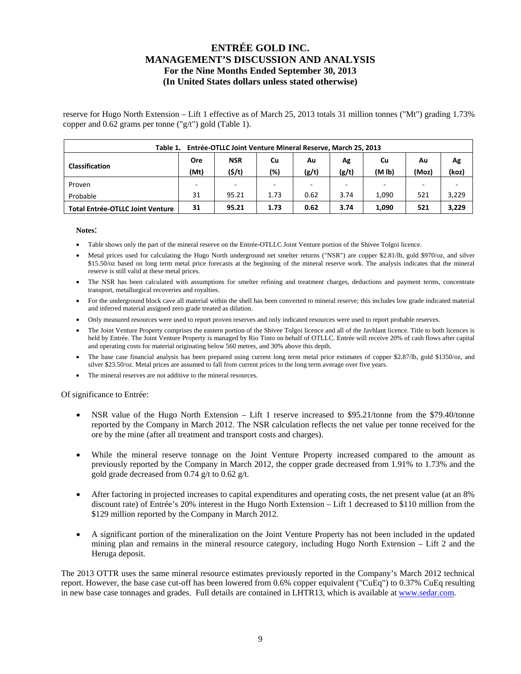reserve for Hugo North Extension – Lift 1 effective as of March 25, 2013 totals 31 million tonnes ("Mt") grading 1.73% copper and 0.62 grams per tonne ("g/t") gold (Table 1).

| Entrée-OTLLC Joint Venture Mineral Reserve, March 25, 2013<br>Table 1. |      |            |      |          |       |                    |       |       |  |  |  |  |
|------------------------------------------------------------------------|------|------------|------|----------|-------|--------------------|-------|-------|--|--|--|--|
|                                                                        | Ore  | <b>NSR</b> | Cu   | Ag<br>Au |       | Cu                 | Au    | Ag    |  |  |  |  |
| <b>Classification</b>                                                  | (Mt) | (5/t)      | (%)  | (g/t)    | (g/t) | (M <sub>1b</sub> ) | (Moz) | (koz) |  |  |  |  |
| Proven                                                                 |      |            |      |          |       |                    |       |       |  |  |  |  |
| Probable                                                               | 31   | 95.21      | 1.73 | 0.62     | 3.74  | 1.090              | 521   | 3,229 |  |  |  |  |
| <b>Total Entrée-OTLLC Joint Venture</b>                                | 31   | 95.21      | 1.73 | 0.62     | 3.74  | 1,090              | 521   | 3,229 |  |  |  |  |

#### **Notes**:

- Table shows only the part of the mineral reserve on the Entrée-OTLLC Joint Venture portion of the Shivee Tolgoi licence.
- Metal prices used for calculating the Hugo North underground net smelter returns ("NSR") are copper \$2.81/lb, gold \$970/oz, and silver \$15.50/oz based on long term metal price forecasts at the beginning of the mineral reserve work. The analysis indicates that the mineral reserve is still valid at these metal prices.
- The NSR has been calculated with assumptions for smelter refining and treatment charges, deductions and payment terms, concentrate transport, metallurgical recoveries and royalties.
- For the underground block cave all material within the shell has been converted to mineral reserve; this includes low grade indicated material and inferred material assigned zero grade treated as dilution.
- Only measured resources were used to report proven reserves and only indicated resources were used to report probable reserves.
- The Joint Venture Property comprises the eastern portion of the Shivee Tolgoi licence and all of the Javhlant licence. Title to both licences is held by Entrée. The Joint Venture Property is managed by Rio Tinto on behalf of OTLLC. Entrée will receive 20% of cash flows after capital and operating costs for material originating below 560 metres, and 30% above this depth.
- The base case financial analysis has been prepared using current long term metal price estimates of copper \$2.87/lb, gold \$1350/oz, and silver \$23.50/oz. Metal prices are assumed to fall from current prices to the long term average over five years.
- The mineral reserves are not additive to the mineral resources.

Of significance to Entrée:

- NSR value of the Hugo North Extension Lift 1 reserve increased to \$95.21/tonne from the \$79.40/tonne reported by the Company in March 2012. The NSR calculation reflects the net value per tonne received for the ore by the mine (after all treatment and transport costs and charges).
- While the mineral reserve tonnage on the Joint Venture Property increased compared to the amount as previously reported by the Company in March 2012, the copper grade decreased from 1.91% to 1.73% and the gold grade decreased from 0.74 g/t to 0.62 g/t.
- After factoring in projected increases to capital expenditures and operating costs, the net present value (at an 8% discount rate) of Entrée's 20% interest in the Hugo North Extension – Lift 1 decreased to \$110 million from the \$129 million reported by the Company in March 2012.
- A significant portion of the mineralization on the Joint Venture Property has not been included in the updated mining plan and remains in the mineral resource category, including Hugo North Extension – Lift 2 and the Heruga deposit.

The 2013 OTTR uses the same mineral resource estimates previously reported in the Company's March 2012 technical report. However, the base case cut-off has been lowered from 0.6% copper equivalent ("CuEq") to 0.37% CuEq resulting in new base case tonnages and grades. Full details are contained in LHTR13, which is available at www.sedar.com.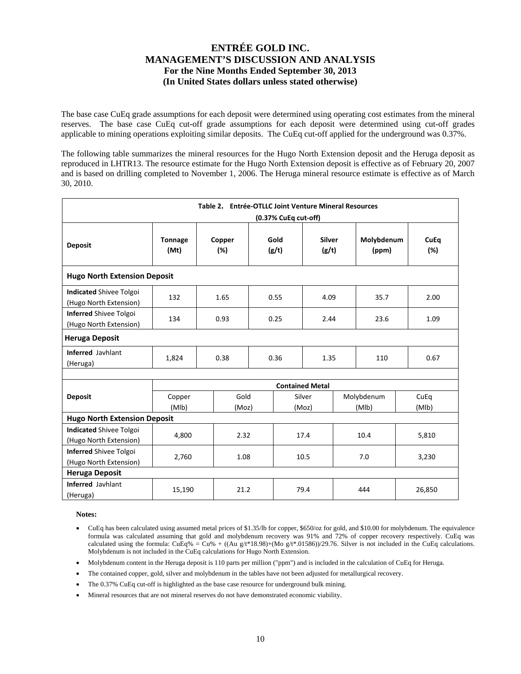The base case CuEq grade assumptions for each deposit were determined using operating cost estimates from the mineral reserves. The base case CuEq cut-off grade assumptions for each deposit were determined using cut-off grades applicable to mining operations exploiting similar deposits. The CuEq cut-off applied for the underground was 0.37%.

The following table summarizes the mineral resources for the Hugo North Extension deposit and the Heruga deposit as reproduced in LHTR13. The resource estimate for the Hugo North Extension deposit is effective as of February 20, 2007 and is based on drilling completed to November 1, 2006. The Heruga mineral resource estimate is effective as of March 30, 2010.

|                                                          | Table 2. Entrée-OTLLC Joint Venture Mineral Resources<br>(0.37% CuEq cut-off) |               |      |               |                        |      |                     |      |                    |  |  |  |  |
|----------------------------------------------------------|-------------------------------------------------------------------------------|---------------|------|---------------|------------------------|------|---------------------|------|--------------------|--|--|--|--|
| <b>Deposit</b>                                           | <b>Tonnage</b><br>(Mt)                                                        | Copper<br>(%) |      | Gold<br>(g/t) | <b>Silver</b><br>(g/t) |      | Molybdenum<br>(ppm) |      | <b>CuEq</b><br>(%) |  |  |  |  |
| <b>Hugo North Extension Deposit</b>                      |                                                                               |               |      |               |                        |      |                     |      |                    |  |  |  |  |
| <b>Indicated Shivee Tolgoi</b><br>(Hugo North Extension) | 132                                                                           | 1.65          |      | 0.55          | 4.09                   |      | 35.7                |      | 2.00               |  |  |  |  |
| <b>Inferred Shivee Tolgoi</b><br>(Hugo North Extension)  | 134                                                                           | 0.93          |      | 0.25<br>2.44  |                        | 23.6 |                     | 1.09 |                    |  |  |  |  |
| <b>Heruga Deposit</b>                                    |                                                                               |               |      |               |                        |      |                     |      |                    |  |  |  |  |
| Inferred Javhlant<br>(Heruga)                            | 1,824                                                                         | 0.38          | 0.36 |               | 1.35                   |      | 110                 |      | 0.67               |  |  |  |  |
|                                                          |                                                                               |               |      |               |                        |      |                     |      |                    |  |  |  |  |
|                                                          |                                                                               |               |      |               | <b>Contained Metal</b> |      |                     |      |                    |  |  |  |  |
| <b>Deposit</b>                                           | Copper<br>(MIb)                                                               | Gold<br>(Moz) |      |               | Silver<br>(Moz)        |      | Molybdenum<br>(MIb) |      | CuEq<br>(MIb)      |  |  |  |  |
| <b>Hugo North Extension Deposit</b>                      |                                                                               |               |      |               |                        |      |                     |      |                    |  |  |  |  |
| <b>Indicated Shivee Tolgoi</b><br>(Hugo North Extension) | 4,800                                                                         | 2.32          |      |               | 17.4                   |      | 10.4                |      | 5,810              |  |  |  |  |
| <b>Inferred Shivee Tolgoi</b><br>(Hugo North Extension)  | 2,760                                                                         | 1.08          |      |               | 10.5                   |      | 7.0                 |      | 3,230              |  |  |  |  |
| <b>Heruga Deposit</b>                                    |                                                                               |               |      |               |                        |      |                     |      |                    |  |  |  |  |
| <b>Inferred Javhlant</b><br>(Heruga)                     | 15,190                                                                        | 21.2          |      |               | 79.4                   |      | 444                 |      | 26,850             |  |  |  |  |

**Notes:** 

- CuEq has been calculated using assumed metal prices of \$1.35/lb for copper, \$650/oz for gold, and \$10.00 for molybdenum. The equivalence formula was calculated assuming that gold and molybdenum recovery was 91% and 72% of copper recovery respectively. CuEq was calculated using the formula: CuEq% = Cu% + ((Au g/t\*18.98)+(Mo g/t\*.01586))/29.76. Silver is not included in the CuEq calculations. Molybdenum is not included in the CuEq calculations for Hugo North Extension.
- Molybdenum content in the Heruga deposit is 110 parts per million ("ppm") and is included in the calculation of CuEq for Heruga.
- The contained copper, gold, silver and molybdenum in the tables have not been adjusted for metallurgical recovery.
- The 0.37% CuEq cut-off is highlighted as the base case resource for underground bulk mining.
- Mineral resources that are not mineral reserves do not have demonstrated economic viability.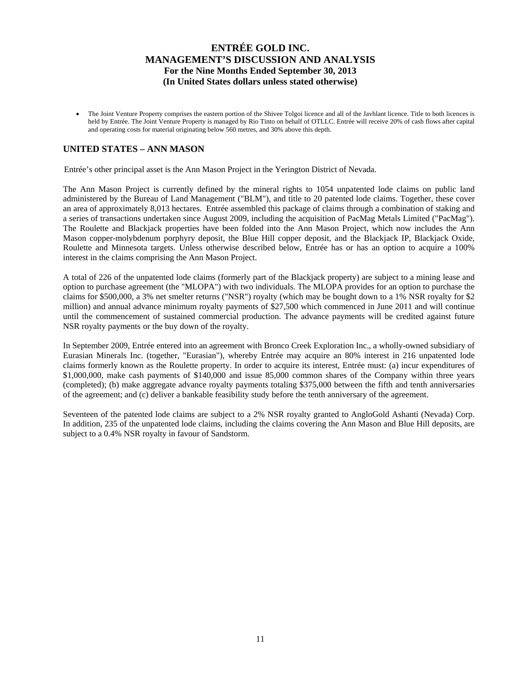The Joint Venture Property comprises the eastern portion of the Shivee Tolgoi licence and all of the Javhlant licence. Title to both licences is held by Entrée. The Joint Venture Property is managed by Rio Tinto on behalf of OTLLC. Entrée will receive 20% of cash flows after capital and operating costs for material originating below 560 metres, and 30% above this depth.

## **UNITED STATES – ANN MASON**

Entrée's other principal asset is the Ann Mason Project in the Yerington District of Nevada.

The Ann Mason Project is currently defined by the mineral rights to 1054 unpatented lode claims on public land administered by the Bureau of Land Management ("BLM"), and title to 20 patented lode claims. Together, these cover an area of approximately 8,013 hectares. Entrée assembled this package of claims through a combination of staking and a series of transactions undertaken since August 2009, including the acquisition of PacMag Metals Limited ("PacMag"). The Roulette and Blackjack properties have been folded into the Ann Mason Project, which now includes the Ann Mason copper-molybdenum porphyry deposit, the Blue Hill copper deposit, and the Blackjack IP, Blackjack Oxide, Roulette and Minnesota targets. Unless otherwise described below, Entrée has or has an option to acquire a 100% interest in the claims comprising the Ann Mason Project.

A total of 226 of the unpatented lode claims (formerly part of the Blackjack property) are subject to a mining lease and option to purchase agreement (the "MLOPA") with two individuals. The MLOPA provides for an option to purchase the claims for \$500,000, a 3% net smelter returns ("NSR") royalty (which may be bought down to a 1% NSR royalty for \$2 million) and annual advance minimum royalty payments of \$27,500 which commenced in June 2011 and will continue until the commencement of sustained commercial production. The advance payments will be credited against future NSR royalty payments or the buy down of the royalty.

In September 2009, Entrée entered into an agreement with Bronco Creek Exploration Inc., a wholly-owned subsidiary of Eurasian Minerals Inc. (together, "Eurasian"), whereby Entrée may acquire an 80% interest in 216 unpatented lode claims formerly known as the Roulette property. In order to acquire its interest, Entrée must: (a) incur expenditures of \$1,000,000, make cash payments of \$140,000 and issue 85,000 common shares of the Company within three years (completed); (b) make aggregate advance royalty payments totaling \$375,000 between the fifth and tenth anniversaries of the agreement; and (c) deliver a bankable feasibility study before the tenth anniversary of the agreement.

Seventeen of the patented lode claims are subject to a 2% NSR royalty granted to AngloGold Ashanti (Nevada) Corp. In addition, 235 of the unpatented lode claims, including the claims covering the Ann Mason and Blue Hill deposits, are subject to a 0.4% NSR royalty in favour of Sandstorm.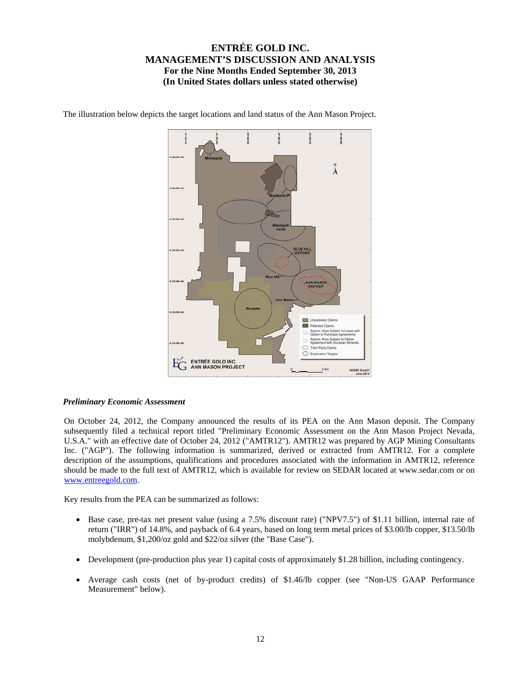

The illustration below depicts the target locations and land status of the Ann Mason Project.

### *Preliminary Economic Assessment*

On October 24, 2012, the Company announced the results of its PEA on the Ann Mason deposit. The Company subsequently filed a technical report titled "Preliminary Economic Assessment on the Ann Mason Project Nevada, U.S.A." with an effective date of October 24, 2012 ("AMTR12"). AMTR12 was prepared by AGP Mining Consultants Inc. ("AGP"). The following information is summarized, derived or extracted from AMTR12. For a complete description of the assumptions, qualifications and procedures associated with the information in AMTR12, reference should be made to the full text of AMTR12, which is available for review on SEDAR located at www.sedar.com or on www.entreegold.com.

Key results from the PEA can be summarized as follows:

- Base case, pre-tax net present value (using a 7.5% discount rate) ("NPV7.5") of \$1.11 billion, internal rate of return ("IRR") of 14.8%, and payback of 6.4 years, based on long term metal prices of \$3.00/lb copper, \$13.50/lb molybdenum, \$1,200/oz gold and \$22/oz silver (the "Base Case").
- Development (pre-production plus year 1) capital costs of approximately \$1.28 billion, including contingency.
- Average cash costs (net of by-product credits) of \$1.46/lb copper (see "Non-US GAAP Performance Measurement" below).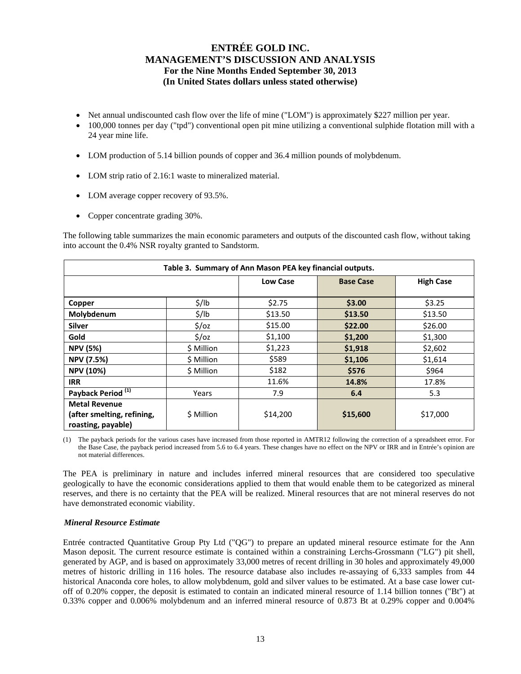- Net annual undiscounted cash flow over the life of mine ("LOM") is approximately \$227 million per year.
- 100,000 tonnes per day ("tpd") conventional open pit mine utilizing a conventional sulphide flotation mill with a 24 year mine life.
- LOM production of 5.14 billion pounds of copper and 36.4 million pounds of molybdenum.
- LOM strip ratio of 2.16:1 waste to mineralized material.
- LOM average copper recovery of 93.5%.
- Copper concentrate grading 30%.

The following table summarizes the main economic parameters and outputs of the discounted cash flow, without taking into account the 0.4% NSR royalty granted to Sandstorm.

| Table 3. Summary of Ann Mason PEA key financial outputs.                 |                   |                 |                  |                  |  |  |  |  |  |  |
|--------------------------------------------------------------------------|-------------------|-----------------|------------------|------------------|--|--|--|--|--|--|
|                                                                          |                   | <b>Low Case</b> | <b>Base Case</b> | <b>High Case</b> |  |  |  |  |  |  |
| Copper                                                                   | $\frac{1}{2}$ /lb | \$2.75          | \$3.00           | \$3.25           |  |  |  |  |  |  |
| Molybdenum                                                               | $\frac{1}{2}$ /lb | \$13.50         | \$13.50          | \$13.50          |  |  |  |  |  |  |
| <b>Silver</b>                                                            | $\frac{2}{3}$ /0Z | \$15.00         | \$22.00          | \$26.00          |  |  |  |  |  |  |
| Gold                                                                     | $\frac{2}{3}$ /0z | \$1,100         | \$1,200          | \$1,300          |  |  |  |  |  |  |
| <b>NPV (5%)</b>                                                          | \$ Million        | \$1,223         | \$1,918          | \$2,602          |  |  |  |  |  |  |
| <b>NPV (7.5%)</b>                                                        | \$ Million        | \$589           | \$1,106          | \$1,614          |  |  |  |  |  |  |
| <b>NPV (10%)</b>                                                         | \$ Million        | \$182           | \$576            | \$964            |  |  |  |  |  |  |
| <b>IRR</b>                                                               |                   | 11.6%           | 14.8%            | 17.8%            |  |  |  |  |  |  |
| Payback Period <sup>(1)</sup>                                            | Years             | 7.9             | 6.4              | 5.3              |  |  |  |  |  |  |
| <b>Metal Revenue</b><br>(after smelting, refining,<br>roasting, payable) | \$ Million        | \$14,200        | \$15,600         | \$17,000         |  |  |  |  |  |  |

(1) The payback periods for the various cases have increased from those reported in AMTR12 following the correction of a spreadsheet error. For the Base Case, the payback period increased from 5.6 to 6.4 years. These changes have no effect on the NPV or IRR and in Entrée's opinion are not material differences.

The PEA is preliminary in nature and includes inferred mineral resources that are considered too speculative geologically to have the economic considerations applied to them that would enable them to be categorized as mineral reserves, and there is no certainty that the PEA will be realized. Mineral resources that are not mineral reserves do not have demonstrated economic viability.

### *Mineral Resource Estimate*

Entrée contracted Quantitative Group Pty Ltd ("QG") to prepare an updated mineral resource estimate for the Ann Mason deposit. The current resource estimate is contained within a constraining Lerchs-Grossmann ("LG") pit shell, generated by AGP, and is based on approximately 33,000 metres of recent drilling in 30 holes and approximately 49,000 metres of historic drilling in 116 holes. The resource database also includes re-assaying of 6,333 samples from 44 historical Anaconda core holes, to allow molybdenum, gold and silver values to be estimated. At a base case lower cutoff of 0.20% copper, the deposit is estimated to contain an indicated mineral resource of 1.14 billion tonnes ("Bt") at 0.33% copper and 0.006% molybdenum and an inferred mineral resource of 0.873 Bt at 0.29% copper and 0.004%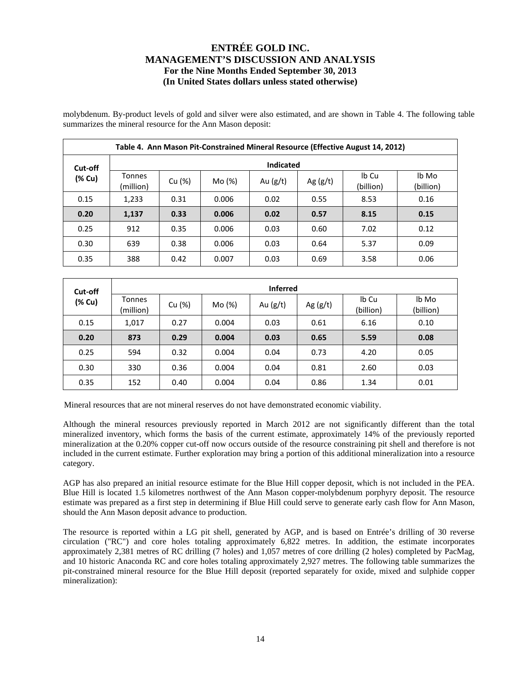molybdenum. By-product levels of gold and silver were also estimated, and are shown in Table 4. The following table summarizes the mineral resource for the Ann Mason deposit:

|        | Table 4. Ann Mason Pit-Constrained Mineral Resource (Effective August 14, 2012) |        |        |            |            |                    |                    |  |  |  |  |  |  |
|--------|---------------------------------------------------------------------------------|--------|--------|------------|------------|--------------------|--------------------|--|--|--|--|--|--|
|        | <b>Indicated</b><br>Cut-off                                                     |        |        |            |            |                    |                    |  |  |  |  |  |  |
| (% Cu) | <b>Tonnes</b><br>(million)                                                      | Cu (%) | Mo (%) | Au $(g/t)$ | Ag $(g/t)$ | Ib Cu<br>(billion) | lb Mo<br>(billion) |  |  |  |  |  |  |
| 0.15   | 1,233                                                                           | 0.31   | 0.006  | 0.02       | 0.55       | 8.53               | 0.16               |  |  |  |  |  |  |
| 0.20   | 1,137                                                                           | 0.33   | 0.006  | 0.02       | 0.57       | 8.15               | 0.15               |  |  |  |  |  |  |
| 0.25   | 912                                                                             | 0.35   | 0.006  | 0.03       | 0.60       | 7.02               | 0.12               |  |  |  |  |  |  |
| 0.30   | 639                                                                             | 0.38   | 0.006  | 0.03       | 0.64       | 5.37               | 0.09               |  |  |  |  |  |  |
| 0.35   | 388                                                                             | 0.42   | 0.007  | 0.03       | 0.69       | 3.58               | 0.06               |  |  |  |  |  |  |

| Cut-off | <b>Inferred</b>            |        |        |            |            |                    |                    |  |  |  |  |  |  |
|---------|----------------------------|--------|--------|------------|------------|--------------------|--------------------|--|--|--|--|--|--|
| (% Cu)  | <b>Tonnes</b><br>(million) | Cu (%) | Mo (%) | Au $(g/t)$ | Ag $(g/t)$ | Ib Cu<br>(billion) | lb Mo<br>(billion) |  |  |  |  |  |  |
| 0.15    | 1,017                      | 0.27   | 0.004  | 0.03       | 0.61       | 6.16               | 0.10               |  |  |  |  |  |  |
| 0.20    | 873                        | 0.29   | 0.004  | 0.03       | 0.65       | 5.59               | 0.08               |  |  |  |  |  |  |
| 0.25    | 594                        | 0.32   | 0.004  | 0.04       | 0.73       | 4.20               | 0.05               |  |  |  |  |  |  |
| 0.30    | 330                        | 0.36   | 0.004  | 0.04       | 0.81       | 2.60               | 0.03               |  |  |  |  |  |  |
| 0.35    | 152                        | 0.40   | 0.004  | 0.04       | 0.86       | 1.34               | 0.01               |  |  |  |  |  |  |

Mineral resources that are not mineral reserves do not have demonstrated economic viability.

Although the mineral resources previously reported in March 2012 are not significantly different than the total mineralized inventory, which forms the basis of the current estimate, approximately 14% of the previously reported mineralization at the 0.20% copper cut-off now occurs outside of the resource constraining pit shell and therefore is not included in the current estimate. Further exploration may bring a portion of this additional mineralization into a resource category.

AGP has also prepared an initial resource estimate for the Blue Hill copper deposit, which is not included in the PEA. Blue Hill is located 1.5 kilometres northwest of the Ann Mason copper-molybdenum porphyry deposit. The resource estimate was prepared as a first step in determining if Blue Hill could serve to generate early cash flow for Ann Mason, should the Ann Mason deposit advance to production.

The resource is reported within a LG pit shell, generated by AGP, and is based on Entrée's drilling of 30 reverse circulation ("RC") and core holes totaling approximately 6,822 metres. In addition, the estimate incorporates approximately 2,381 metres of RC drilling (7 holes) and 1,057 metres of core drilling (2 holes) completed by PacMag, and 10 historic Anaconda RC and core holes totaling approximately 2,927 metres. The following table summarizes the pit-constrained mineral resource for the Blue Hill deposit (reported separately for oxide, mixed and sulphide copper mineralization):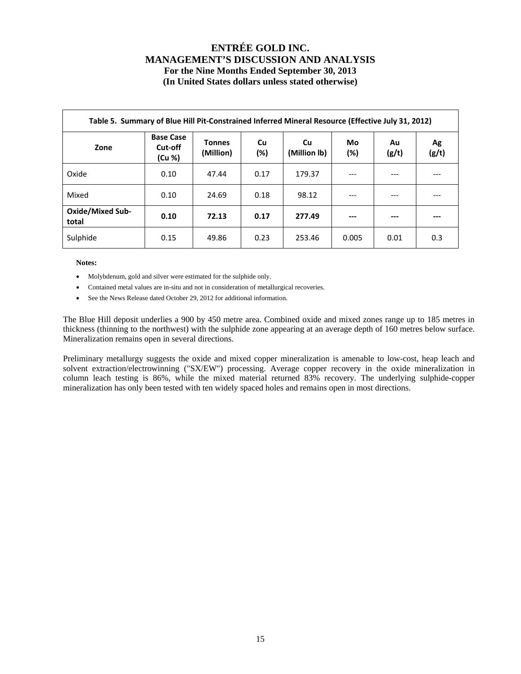|                                  | Table 5. Summary of Blue Hill Pit-Constrained Inferred Mineral Resource (Effective July 31, 2012) |                            |           |                    |           |             |             |  |  |  |  |  |  |  |
|----------------------------------|---------------------------------------------------------------------------------------------------|----------------------------|-----------|--------------------|-----------|-------------|-------------|--|--|--|--|--|--|--|
| Zone                             | <b>Base Case</b><br>Cut-off<br>(Cu %)                                                             | <b>Tonnes</b><br>(Million) | Cu<br>(%) | Cu<br>(Million lb) | Mo<br>(%) | Au<br>(g/t) | Ag<br>(g/t) |  |  |  |  |  |  |  |
| Oxide                            | 0.10                                                                                              | 47.44                      | 0.17      | 179.37             | ---       | ---         |             |  |  |  |  |  |  |  |
| Mixed                            | 0.10                                                                                              | 24.69                      | 0.18      | 98.12              | $---$     | ---         |             |  |  |  |  |  |  |  |
| <b>Oxide/Mixed Sub-</b><br>total | 0.10                                                                                              | 72.13                      | 0.17      | 277.49             | $---$     | ---         |             |  |  |  |  |  |  |  |
| Sulphide                         | 0.15                                                                                              | 49.86                      | 0.23      | 253.46             | 0.005     | 0.01        | 0.3         |  |  |  |  |  |  |  |

**Notes:** 

- Molybdenum, gold and silver were estimated for the sulphide only.
- Contained metal values are in-situ and not in consideration of metallurgical recoveries.
- See the News Release dated October 29, 2012 for additional information.

The Blue Hill deposit underlies a 900 by 450 metre area. Combined oxide and mixed zones range up to 185 metres in thickness (thinning to the northwest) with the sulphide zone appearing at an average depth of 160 metres below surface. Mineralization remains open in several directions.

Preliminary metallurgy suggests the oxide and mixed copper mineralization is amenable to low-cost, heap leach and solvent extraction/electrowinning ("SX/EW") processing. Average copper recovery in the oxide mineralization in column leach testing is 86%, while the mixed material returned 83% recovery. The underlying sulphide-copper mineralization has only been tested with ten widely spaced holes and remains open in most directions.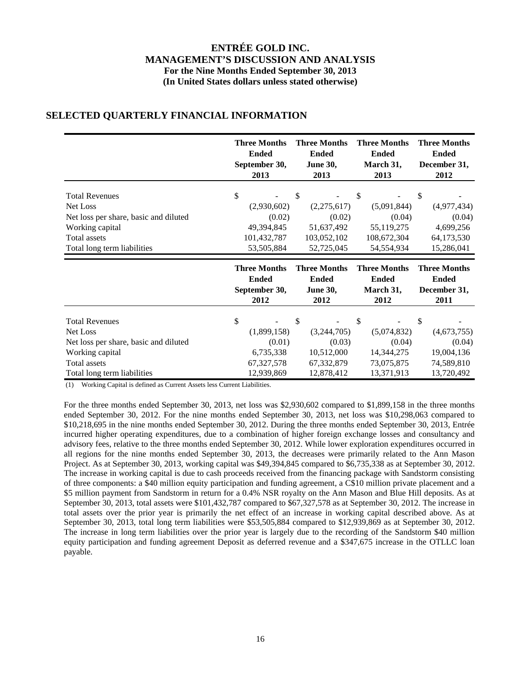|                                       | <b>Three Months</b> | <b>Three Months</b> | <b>Three Months</b> | <b>Three Months</b> |
|---------------------------------------|---------------------|---------------------|---------------------|---------------------|
|                                       | <b>Ended</b>        | <b>Ended</b>        | <b>Ended</b>        | <b>Ended</b>        |
|                                       | September 30,       | <b>June 30,</b>     | March 31,           | December 31,        |
|                                       | 2013                | 2013                | 2013                | 2012                |
| <b>Total Revenues</b>                 | \$                  | $\mathcal{S}$       | \$                  | \$                  |
| Net Loss                              | (2,930,602)         | (2,275,617)         | (5,091,844)         | (4,977,434)         |
| Net loss per share, basic and diluted | (0.02)              | (0.02)              | (0.04)              | (0.04)              |
| Working capital                       | 49,394,845          | 51,637,492          | 55,119,275          | 4,699,256           |
| <b>Total assets</b>                   | 101,432,787         | 103,052,102         | 108,672,304         | 64,173,530          |
| Total long term liabilities           | 53,505,884          | 52,725,045          | 54,554,934          | 15,286,041          |
|                                       |                     |                     |                     |                     |
|                                       | <b>Three Months</b> | <b>Three Months</b> | <b>Three Months</b> | <b>Three Months</b> |
|                                       | <b>Ended</b>        | <b>Ended</b>        | <b>Ended</b>        | <b>Ended</b>        |
|                                       | September 30,       | <b>June 30,</b>     | March 31,           | December 31,        |
|                                       | 2012                | 2012                | 2012                | 2011                |

## **SELECTED QUARTERLY FINANCIAL INFORMATION**

(1) Working Capital is defined as Current Assets less Current Liabilities.

For the three months ended September 30, 2013, net loss was \$2,930,602 compared to \$1,899,158 in the three months ended September 30, 2012. For the nine months ended September 30, 2013, net loss was \$10,298,063 compared to \$10,218,695 in the nine months ended September 30, 2012. During the three months ended September 30, 2013, Entrée incurred higher operating expenditures, due to a combination of higher foreign exchange losses and consultancy and advisory fees, relative to the three months ended September 30, 2012. While lower exploration expenditures occurred in all regions for the nine months ended September 30, 2013, the decreases were primarily related to the Ann Mason Project. As at September 30, 2013, working capital was \$49,394,845 compared to \$6,735,338 as at September 30, 2012. The increase in working capital is due to cash proceeds received from the financing package with Sandstorm consisting of three components: a \$40 million equity participation and funding agreement, a C\$10 million private placement and a \$5 million payment from Sandstorm in return for a 0.4% NSR royalty on the Ann Mason and Blue Hill deposits. As at September 30, 2013, total assets were \$101,432,787 compared to \$67,327,578 as at September 30, 2012. The increase in total assets over the prior year is primarily the net effect of an increase in working capital described above. As at September 30, 2013, total long term liabilities were \$53,505,884 compared to \$12,939,869 as at September 30, 2012. The increase in long term liabilities over the prior year is largely due to the recording of the Sandstorm \$40 million equity participation and funding agreement Deposit as deferred revenue and a \$347,675 increase in the OTLLC loan payable.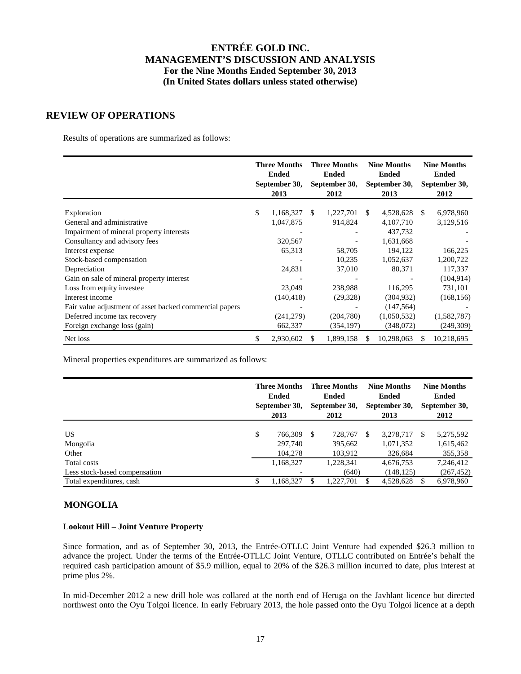### **REVIEW OF OPERATIONS**

Results of operations are summarized as follows:

|                                                         | <b>Three Months</b><br><b>Ended</b><br>September 30,<br>2013 |     | <b>Three Months</b><br><b>Ended</b><br>September 30,<br>2012 |               | <b>Nine Months</b><br><b>Ended</b><br>September 30,<br>2013 |    | <b>Nine Months</b><br><b>Ended</b><br>September 30,<br>2012 |
|---------------------------------------------------------|--------------------------------------------------------------|-----|--------------------------------------------------------------|---------------|-------------------------------------------------------------|----|-------------------------------------------------------------|
| Exploration                                             | \$<br>1,168,327                                              | \$  | 1,227,701                                                    | <sup>\$</sup> | 4,528,628                                                   | -S | 6,978,960                                                   |
| General and administrative                              | 1,047,875                                                    |     | 914,824                                                      |               | 4,107,710                                                   |    | 3,129,516                                                   |
| Impairment of mineral property interests                |                                                              |     |                                                              |               | 437,732                                                     |    |                                                             |
| Consultancy and advisory fees                           | 320,567                                                      |     |                                                              |               | 1,631,668                                                   |    |                                                             |
| Interest expense                                        | 65,313                                                       |     | 58,705                                                       |               | 194,122                                                     |    | 166,225                                                     |
| Stock-based compensation                                |                                                              |     | 10,235                                                       |               | 1,052,637                                                   |    | 1,200,722                                                   |
| Depreciation                                            | 24,831                                                       |     | 37,010                                                       |               | 80,371                                                      |    | 117,337                                                     |
| Gain on sale of mineral property interest               |                                                              |     |                                                              |               |                                                             |    | (104, 914)                                                  |
| Loss from equity investee                               | 23,049                                                       |     | 238,988                                                      |               | 116,295                                                     |    | 731,101                                                     |
| Interest income                                         | (140, 418)                                                   |     | (29, 328)                                                    |               | (304, 932)                                                  |    | (168, 156)                                                  |
| Fair value adjustment of asset backed commercial papers |                                                              |     |                                                              |               | (147, 564)                                                  |    |                                                             |
| Deferred income tax recovery                            | (241, 279)                                                   |     | (204,780)                                                    |               | (1,050,532)                                                 |    | (1,582,787)                                                 |
| Foreign exchange loss (gain)                            | 662,337                                                      |     | (354, 197)                                                   |               | (348,072)                                                   |    | (249, 309)                                                  |
| Net loss                                                | \$<br>2,930,602                                              | \$. | 1,899,158                                                    | S.            | 10,298,063                                                  |    | 10,218,695                                                  |

Mineral properties expenditures are summarized as follows:

|                                              |    | <b>Three Months</b><br><b>Ended</b><br>September 30,<br>2013 |    | <b>Three Months</b><br><b>Ended</b><br>September 30,<br>2012 |     | <b>Nine Months</b><br><b>Ended</b><br>September 30,<br>2013 |     | <b>Nine Months</b><br><b>Ended</b><br>September 30,<br>2012 |
|----------------------------------------------|----|--------------------------------------------------------------|----|--------------------------------------------------------------|-----|-------------------------------------------------------------|-----|-------------------------------------------------------------|
| US                                           | \$ | 766.309                                                      | -S | 728,767                                                      | \$. | 3,278,717                                                   | \$. | 5,275,592                                                   |
| Mongolia<br>Other                            |    | 297,740<br>104.278                                           |    | 395,662<br>103,912                                           |     | 1,071,352<br>326,684                                        |     | 1,615,462<br>355,358                                        |
| Total costs<br>Less stock-based compensation |    | 1,168,327                                                    |    | 1,228,341<br>(640)                                           |     | 4,676,753<br>(148, 125)                                     |     | 7,246,412<br>(267, 452)                                     |
| Total expenditures, cash                     | S  | 1,168,327                                                    | S  | 1,227,701                                                    |     | 4,528,628                                                   |     | 6,978,960                                                   |

### **MONGOLIA**

#### **Lookout Hill – Joint Venture Property**

Since formation, and as of September 30, 2013, the Entrée-OTLLC Joint Venture had expended \$26.3 million to advance the project. Under the terms of the Entrée-OTLLC Joint Venture, OTLLC contributed on Entrée's behalf the required cash participation amount of \$5.9 million, equal to 20% of the \$26.3 million incurred to date, plus interest at prime plus 2%.

In mid-December 2012 a new drill hole was collared at the north end of Heruga on the Javhlant licence but directed northwest onto the Oyu Tolgoi licence. In early February 2013, the hole passed onto the Oyu Tolgoi licence at a depth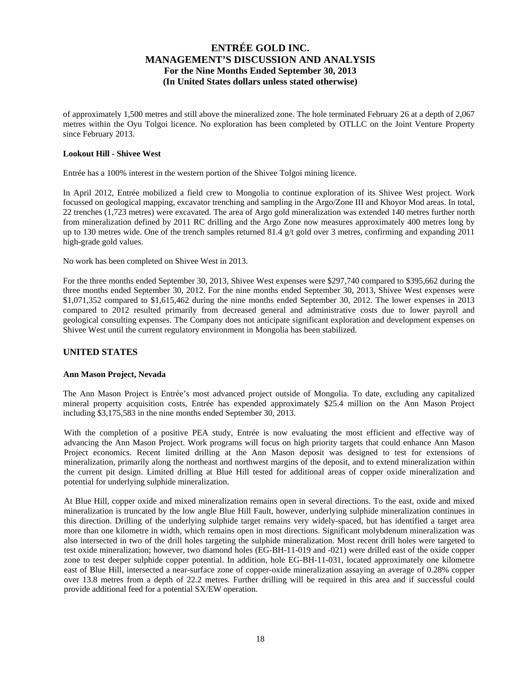of approximately 1,500 metres and still above the mineralized zone. The hole terminated February 26 at a depth of 2,067 metres within the Oyu Tolgoi licence. No exploration has been completed by OTLLC on the Joint Venture Property since February 2013.

### **Lookout Hill - Shivee West**

Entrée has a 100% interest in the western portion of the Shivee Tolgoi mining licence.

In April 2012, Entrée mobilized a field crew to Mongolia to continue exploration of its Shivee West project. Work focussed on geological mapping, excavator trenching and sampling in the Argo/Zone III and Khoyor Mod areas. In total, 22 trenches (1,723 metres) were excavated. The area of Argo gold mineralization was extended 140 metres further north from mineralization defined by 2011 RC drilling and the Argo Zone now measures approximately 400 metres long by up to 130 metres wide. One of the trench samples returned 81.4  $g/t$  gold over 3 metres, confirming and expanding 2011 high-grade gold values.

No work has been completed on Shivee West in 2013.

For the three months ended September 30, 2013, Shivee West expenses were \$297,740 compared to \$395,662 during the three months ended September 30, 2012. For the nine months ended September 30, 2013, Shivee West expenses were \$1,071,352 compared to \$1,615,462 during the nine months ended September 30, 2012. The lower expenses in 2013 compared to 2012 resulted primarily from decreased general and administrative costs due to lower payroll and geological consulting expenses. The Company does not anticipate significant exploration and development expenses on Shivee West until the current regulatory environment in Mongolia has been stabilized.

### **UNITED STATES**

### **Ann Mason Project, Nevada**

The Ann Mason Project is Entrée's most advanced project outside of Mongolia. To date, excluding any capitalized mineral property acquisition costs, Entrée has expended approximately \$25.4 million on the Ann Mason Project including \$3,175,583 in the nine months ended September 30, 2013.

With the completion of a positive PEA study, Entrée is now evaluating the most efficient and effective way of advancing the Ann Mason Project. Work programs will focus on high priority targets that could enhance Ann Mason Project economics. Recent limited drilling at the Ann Mason deposit was designed to test for extensions of mineralization, primarily along the northeast and northwest margins of the deposit, and to extend mineralization within the current pit design. Limited drilling at Blue Hill tested for additional areas of copper oxide mineralization and potential for underlying sulphide mineralization.

At Blue Hill, copper oxide and mixed mineralization remains open in several directions. To the east, oxide and mixed mineralization is truncated by the low angle Blue Hill Fault, however, underlying sulphide mineralization continues in this direction. Drilling of the underlying sulphide target remains very widely-spaced, but has identified a target area more than one kilometre in width, which remains open in most directions. Significant molybdenum mineralization was also intersected in two of the drill holes targeting the sulphide mineralization. Most recent drill holes were targeted to test oxide mineralization; however, two diamond holes (EG-BH-11-019 and -021) were drilled east of the oxide copper zone to test deeper sulphide copper potential. In addition, hole EG-BH-11-031, located approximately one kilometre east of Blue Hill, intersected a near-surface zone of copper-oxide mineralization assaying an average of 0.28% copper over 13.8 metres from a depth of 22.2 metres. Further drilling will be required in this area and if successful could provide additional feed for a potential SX/EW operation.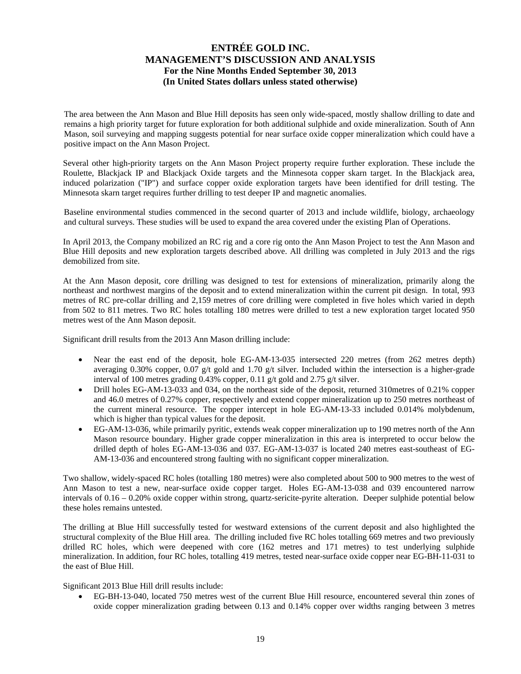The area between the Ann Mason and Blue Hill deposits has seen only wide-spaced, mostly shallow drilling to date and remains a high priority target for future exploration for both additional sulphide and oxide mineralization. South of Ann Mason, soil surveying and mapping suggests potential for near surface oxide copper mineralization which could have a positive impact on the Ann Mason Project.

Several other high-priority targets on the Ann Mason Project property require further exploration. These include the Roulette, Blackjack IP and Blackjack Oxide targets and the Minnesota copper skarn target. In the Blackjack area, induced polarization ("IP") and surface copper oxide exploration targets have been identified for drill testing. The Minnesota skarn target requires further drilling to test deeper IP and magnetic anomalies.

Baseline environmental studies commenced in the second quarter of 2013 and include wildlife, biology, archaeology and cultural surveys. These studies will be used to expand the area covered under the existing Plan of Operations.

In April 2013, the Company mobilized an RC rig and a core rig onto the Ann Mason Project to test the Ann Mason and Blue Hill deposits and new exploration targets described above. All drilling was completed in July 2013 and the rigs demobilized from site.

At the Ann Mason deposit, core drilling was designed to test for extensions of mineralization, primarily along the northeast and northwest margins of the deposit and to extend mineralization within the current pit design. In total, 993 metres of RC pre-collar drilling and 2,159 metres of core drilling were completed in five holes which varied in depth from 502 to 811 metres. Two RC holes totalling 180 metres were drilled to test a new exploration target located 950 metres west of the Ann Mason deposit.

Significant drill results from the 2013 Ann Mason drilling include:

- Near the east end of the deposit, hole EG-AM-13-035 intersected 220 metres (from 262 metres depth) averaging 0.30% copper, 0.07 g/t gold and 1.70 g/t silver. Included within the intersection is a higher-grade interval of 100 metres grading 0.43% copper, 0.11 g/t gold and 2.75 g/t silver.
- Drill holes EG-AM-13-033 and 034, on the northeast side of the deposit, returned 310 metres of 0.21% copper and 46.0 metres of 0.27% copper, respectively and extend copper mineralization up to 250 metres northeast of the current mineral resource. The copper intercept in hole EG-AM-13-33 included 0.014% molybdenum, which is higher than typical values for the deposit.
- EG-AM-13-036, while primarily pyritic, extends weak copper mineralization up to 190 metres north of the Ann Mason resource boundary. Higher grade copper mineralization in this area is interpreted to occur below the drilled depth of holes EG-AM-13-036 and 037. EG-AM-13-037 is located 240 metres east-southeast of EG-AM-13-036 and encountered strong faulting with no significant copper mineralization.

Two shallow, widely-spaced RC holes (totalling 180 metres) were also completed about 500 to 900 metres to the west of Ann Mason to test a new, near-surface oxide copper target. Holes EG-AM-13-038 and 039 encountered narrow intervals of  $0.16 - 0.20\%$  oxide copper within strong, quartz-sericite-pyrite alteration. Deeper sulphide potential below these holes remains untested.

The drilling at Blue Hill successfully tested for westward extensions of the current deposit and also highlighted the structural complexity of the Blue Hill area. The drilling included five RC holes totalling 669 metres and two previously drilled RC holes, which were deepened with core (162 metres and 171 metres) to test underlying sulphide mineralization. In addition, four RC holes, totalling 419 metres, tested near-surface oxide copper near EG-BH-11-031 to the east of Blue Hill.

Significant 2013 Blue Hill drill results include:

 EG-BH-13-040, located 750 metres west of the current Blue Hill resource, encountered several thin zones of oxide copper mineralization grading between 0.13 and 0.14% copper over widths ranging between 3 metres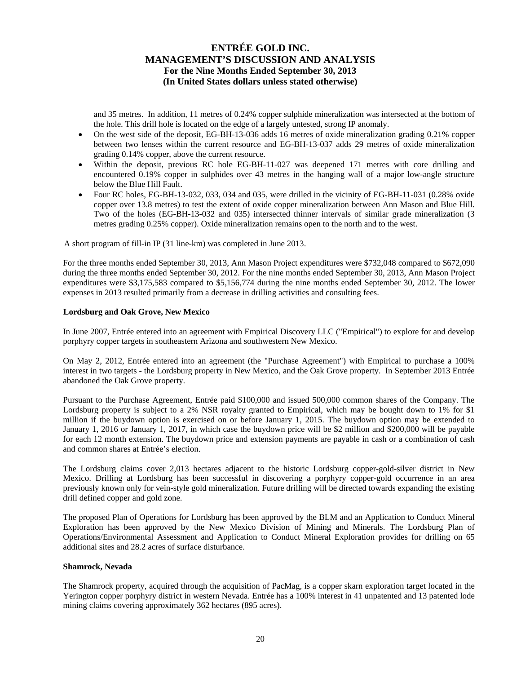and 35 metres. In addition, 11 metres of 0.24% copper sulphide mineralization was intersected at the bottom of the hole. This drill hole is located on the edge of a largely untested, strong IP anomaly.

- On the west side of the deposit, EG-BH-13-036 adds 16 metres of oxide mineralization grading 0.21% copper between two lenses within the current resource and EG-BH-13-037 adds 29 metres of oxide mineralization grading 0.14% copper, above the current resource.
- Within the deposit, previous RC hole EG-BH-11-027 was deepened 171 metres with core drilling and encountered 0.19% copper in sulphides over 43 metres in the hanging wall of a major low-angle structure below the Blue Hill Fault.
- Four RC holes, EG-BH-13-032, 033, 034 and 035, were drilled in the vicinity of EG-BH-11-031 (0.28% oxide copper over 13.8 metres) to test the extent of oxide copper mineralization between Ann Mason and Blue Hill. Two of the holes (EG-BH-13-032 and 035) intersected thinner intervals of similar grade mineralization (3 metres grading 0.25% copper). Oxide mineralization remains open to the north and to the west.

A short program of fill-in IP (31 line-km) was completed in June 2013.

For the three months ended September 30, 2013, Ann Mason Project expenditures were \$732,048 compared to \$672,090 during the three months ended September 30, 2012. For the nine months ended September 30, 2013, Ann Mason Project expenditures were \$3,175,583 compared to \$5,156,774 during the nine months ended September 30, 2012. The lower expenses in 2013 resulted primarily from a decrease in drilling activities and consulting fees.

#### **Lordsburg and Oak Grove, New Mexico**

In June 2007, Entrée entered into an agreement with Empirical Discovery LLC ("Empirical") to explore for and develop porphyry copper targets in southeastern Arizona and southwestern New Mexico.

On May 2, 2012, Entrée entered into an agreement (the "Purchase Agreement") with Empirical to purchase a 100% interest in two targets - the Lordsburg property in New Mexico, and the Oak Grove property. In September 2013 Entrée abandoned the Oak Grove property.

Pursuant to the Purchase Agreement, Entrée paid \$100,000 and issued 500,000 common shares of the Company. The Lordsburg property is subject to a 2% NSR royalty granted to Empirical, which may be bought down to 1% for \$1 million if the buydown option is exercised on or before January 1, 2015. The buydown option may be extended to January 1, 2016 or January 1, 2017, in which case the buydown price will be \$2 million and \$200,000 will be payable for each 12 month extension. The buydown price and extension payments are payable in cash or a combination of cash and common shares at Entrée's election.

The Lordsburg claims cover 2,013 hectares adjacent to the historic Lordsburg copper-gold-silver district in New Mexico. Drilling at Lordsburg has been successful in discovering a porphyry copper-gold occurrence in an area previously known only for vein-style gold mineralization. Future drilling will be directed towards expanding the existing drill defined copper and gold zone.

The proposed Plan of Operations for Lordsburg has been approved by the BLM and an Application to Conduct Mineral Exploration has been approved by the New Mexico Division of Mining and Minerals. The Lordsburg Plan of Operations/Environmental Assessment and Application to Conduct Mineral Exploration provides for drilling on 65 additional sites and 28.2 acres of surface disturbance.

### **Shamrock, Nevada**

The Shamrock property, acquired through the acquisition of PacMag, is a copper skarn exploration target located in the Yerington copper porphyry district in western Nevada. Entrée has a 100% interest in 41 unpatented and 13 patented lode mining claims covering approximately 362 hectares (895 acres).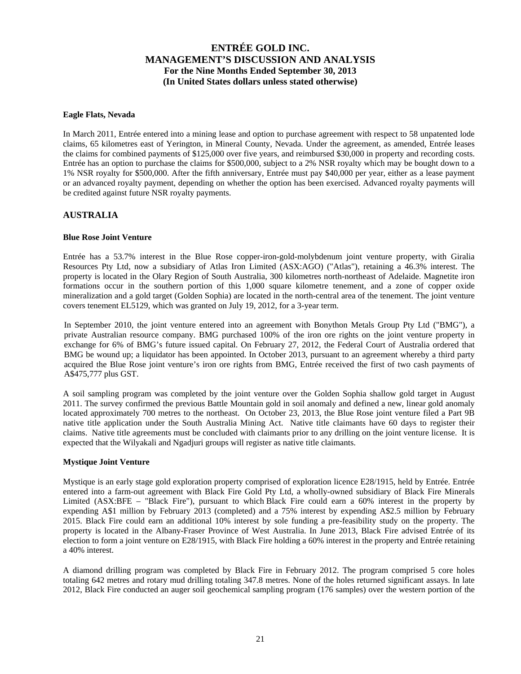### **Eagle Flats, Nevada**

In March 2011, Entrée entered into a mining lease and option to purchase agreement with respect to 58 unpatented lode claims, 65 kilometres east of Yerington, in Mineral County, Nevada. Under the agreement, as amended, Entrée leases the claims for combined payments of \$125,000 over five years, and reimbursed \$30,000 in property and recording costs. Entrée has an option to purchase the claims for \$500,000, subject to a 2% NSR royalty which may be bought down to a 1% NSR royalty for \$500,000. After the fifth anniversary, Entrée must pay \$40,000 per year, either as a lease payment or an advanced royalty payment, depending on whether the option has been exercised. Advanced royalty payments will be credited against future NSR royalty payments.

### **AUSTRALIA**

### **Blue Rose Joint Venture**

Entrée has a 53.7% interest in the Blue Rose copper-iron-gold-molybdenum joint venture property, with Giralia Resources Pty Ltd, now a subsidiary of Atlas Iron Limited (ASX:AGO) ("Atlas"), retaining a 46.3% interest. The property is located in the Olary Region of South Australia, 300 kilometres north-northeast of Adelaide. Magnetite iron formations occur in the southern portion of this 1,000 square kilometre tenement, and a zone of copper oxide mineralization and a gold target (Golden Sophia) are located in the north-central area of the tenement. The joint venture covers tenement EL5129, which was granted on July 19, 2012, for a 3-year term.

In September 2010, the joint venture entered into an agreement with Bonython Metals Group Pty Ltd ("BMG"), a private Australian resource company. BMG purchased 100% of the iron ore rights on the joint venture property in exchange for 6% of BMG's future issued capital. On February 27, 2012, the Federal Court of Australia ordered that BMG be wound up; a liquidator has been appointed. In October 2013, pursuant to an agreement whereby a third party acquired the Blue Rose joint venture's iron ore rights from BMG, Entrée received the first of two cash payments of A\$475,777 plus GST.

A soil sampling program was completed by the joint venture over the Golden Sophia shallow gold target in August 2011. The survey confirmed the previous Battle Mountain gold in soil anomaly and defined a new, linear gold anomaly located approximately 700 metres to the northeast. On October 23, 2013, the Blue Rose joint venture filed a Part 9B native title application under the South Australia Mining Act. Native title claimants have 60 days to register their claims. Native title agreements must be concluded with claimants prior to any drilling on the joint venture license. It is expected that the Wilyakali and Ngadjuri groups will register as native title claimants.

### **Mystique Joint Venture**

Mystique is an early stage gold exploration property comprised of exploration licence E28/1915, held by Entrée. Entrée entered into a farm-out agreement with Black Fire Gold Pty Ltd, a wholly-owned subsidiary of Black Fire Minerals Limited (ASX:BFE – "Black Fire"), pursuant to which Black Fire could earn a 60% interest in the property by expending A\$1 million by February 2013 (completed) and a 75% interest by expending A\$2.5 million by February 2015. Black Fire could earn an additional 10% interest by sole funding a pre-feasibility study on the property. The property is located in the Albany-Fraser Province of West Australia. In June 2013, Black Fire advised Entrée of its election to form a joint venture on E28/1915, with Black Fire holding a 60% interest in the property and Entrée retaining a 40% interest.

A diamond drilling program was completed by Black Fire in February 2012. The program comprised 5 core holes totaling 642 metres and rotary mud drilling totaling 347.8 metres. None of the holes returned significant assays. In late 2012, Black Fire conducted an auger soil geochemical sampling program (176 samples) over the western portion of the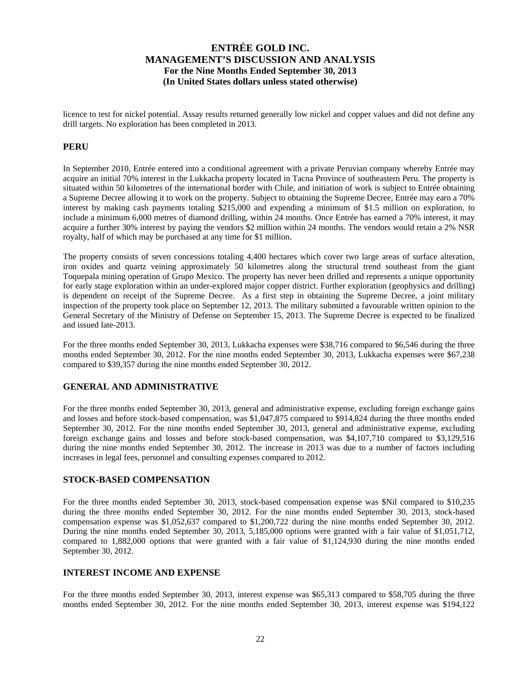licence to test for nickel potential. Assay results returned generally low nickel and copper values and did not define any drill targets. No exploration has been completed in 2013.

### **PERU**

In September 2010, Entrée entered into a conditional agreement with a private Peruvian company whereby Entrée may acquire an initial 70% interest in the Lukkacha property located in Tacna Province of southeastern Peru. The property is situated within 50 kilometres of the international border with Chile, and initiation of work is subject to Entrée obtaining a Supreme Decree allowing it to work on the property. Subject to obtaining the Supreme Decree, Entrée may earn a 70% interest by making cash payments totaling \$215,000 and expending a minimum of \$1.5 million on exploration, to include a minimum 6,000 metres of diamond drilling, within 24 months. Once Entrée has earned a 70% interest, it may acquire a further 30% interest by paying the vendors \$2 million within 24 months. The vendors would retain a 2% NSR royalty, half of which may be purchased at any time for \$1 million.

The property consists of seven concessions totaling 4,400 hectares which cover two large areas of surface alteration, iron oxides and quartz veining approximately 50 kilometres along the structural trend southeast from the giant Toquepala mining operation of Grupo Mexico. The property has never been drilled and represents a unique opportunity for early stage exploration within an under-explored major copper district. Further exploration (geophysics and drilling) is dependent on receipt of the Supreme Decree. As a first step in obtaining the Supreme Decree, a joint military inspection of the property took place on September 12, 2013. The military submitted a favourable written opinion to the General Secretary of the Ministry of Defense on September 15, 2013. The Supreme Decree is expected to be finalized and issued late-2013.

For the three months ended September 30, 2013, Lukkacha expenses were \$38,716 compared to \$6,546 during the three months ended September 30, 2012. For the nine months ended September 30, 2013, Lukkacha expenses were \$67,238 compared to \$39,357 during the nine months ended September 30, 2012.

### **GENERAL AND ADMINISTRATIVE**

For the three months ended September 30, 2013, general and administrative expense, excluding foreign exchange gains and losses and before stock-based compensation, was \$1,047,875 compared to \$914,824 during the three months ended September 30, 2012. For the nine months ended September 30, 2013, general and administrative expense, excluding foreign exchange gains and losses and before stock-based compensation, was \$4,107,710 compared to \$3,129,516 during the nine months ended September 30, 2012. The increase in 2013 was due to a number of factors including increases in legal fees, personnel and consulting expenses compared to 2012.

### **STOCK-BASED COMPENSATION**

For the three months ended September 30, 2013, stock-based compensation expense was \$Nil compared to \$10,235 during the three months ended September 30, 2012. For the nine months ended September 30, 2013, stock-based compensation expense was \$1,052,637 compared to \$1,200,722 during the nine months ended September 30, 2012. During the nine months ended September 30, 2013, 5,185,000 options were granted with a fair value of \$1,051,712, compared to 1,882,000 options that were granted with a fair value of \$1,124,930 during the nine months ended September 30, 2012.

### **INTEREST INCOME AND EXPENSE**

For the three months ended September 30, 2013, interest expense was \$65,313 compared to \$58,705 during the three months ended September 30, 2012. For the nine months ended September 30, 2013, interest expense was \$194,122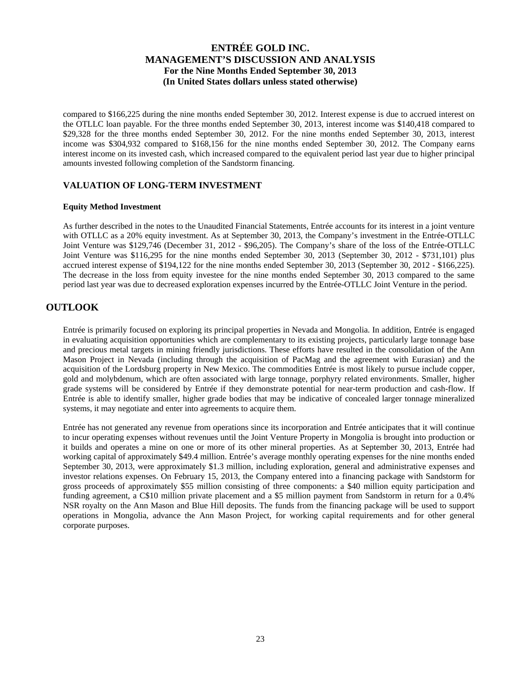compared to \$166,225 during the nine months ended September 30, 2012. Interest expense is due to accrued interest on the OTLLC loan payable. For the three months ended September 30, 2013, interest income was \$140,418 compared to \$29,328 for the three months ended September 30, 2012. For the nine months ended September 30, 2013, interest income was \$304,932 compared to \$168,156 for the nine months ended September 30, 2012. The Company earns interest income on its invested cash, which increased compared to the equivalent period last year due to higher principal amounts invested following completion of the Sandstorm financing.

### **VALUATION OF LONG-TERM INVESTMENT**

#### **Equity Method Investment**

As further described in the notes to the Unaudited Financial Statements, Entrée accounts for its interest in a joint venture with OTLLC as a 20% equity investment. As at September 30, 2013, the Company's investment in the Entrée-OTLLC Joint Venture was \$129,746 (December 31, 2012 - \$96,205). The Company's share of the loss of the Entrée-OTLLC Joint Venture was \$116,295 for the nine months ended September 30, 2013 (September 30, 2012 - \$731,101) plus accrued interest expense of \$194,122 for the nine months ended September 30, 2013 (September 30, 2012 - \$166,225). The decrease in the loss from equity investee for the nine months ended September 30, 2013 compared to the same period last year was due to decreased exploration expenses incurred by the Entrée-OTLLC Joint Venture in the period.

# **OUTLOOK**

Entrée is primarily focused on exploring its principal properties in Nevada and Mongolia. In addition, Entrée is engaged in evaluating acquisition opportunities which are complementary to its existing projects, particularly large tonnage base and precious metal targets in mining friendly jurisdictions. These efforts have resulted in the consolidation of the Ann Mason Project in Nevada (including through the acquisition of PacMag and the agreement with Eurasian) and the acquisition of the Lordsburg property in New Mexico. The commodities Entrée is most likely to pursue include copper, gold and molybdenum, which are often associated with large tonnage, porphyry related environments. Smaller, higher grade systems will be considered by Entrée if they demonstrate potential for near-term production and cash-flow. If Entrée is able to identify smaller, higher grade bodies that may be indicative of concealed larger tonnage mineralized systems, it may negotiate and enter into agreements to acquire them.

Entrée has not generated any revenue from operations since its incorporation and Entrée anticipates that it will continue to incur operating expenses without revenues until the Joint Venture Property in Mongolia is brought into production or it builds and operates a mine on one or more of its other mineral properties. As at September 30, 2013, Entrée had working capital of approximately \$49.4 million. Entrée's average monthly operating expenses for the nine months ended September 30, 2013, were approximately \$1.3 million, including exploration, general and administrative expenses and investor relations expenses. On February 15, 2013, the Company entered into a financing package with Sandstorm for gross proceeds of approximately \$55 million consisting of three components: a \$40 million equity participation and funding agreement, a C\$10 million private placement and a \$5 million payment from Sandstorm in return for a 0.4% NSR royalty on the Ann Mason and Blue Hill deposits. The funds from the financing package will be used to support operations in Mongolia, advance the Ann Mason Project, for working capital requirements and for other general corporate purposes.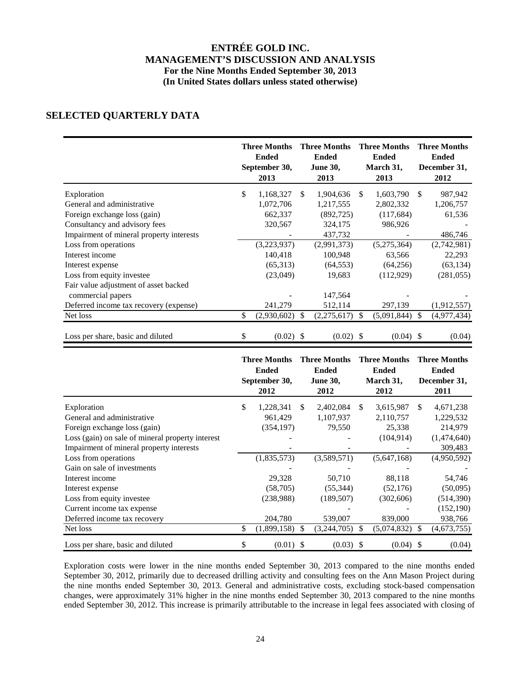# **SELECTED QUARTERLY DATA**

|                                          | <b>Three Months</b><br><b>Ended</b><br>September 30,<br>2013 |     | <b>Three Months</b><br><b>Ended</b><br><b>June 30,</b><br>2013 |               | <b>Three Months</b><br><b>Ended</b><br>March 31,<br>2013 | <b>Three Months</b><br><b>Ended</b><br>December 31,<br>2012 |
|------------------------------------------|--------------------------------------------------------------|-----|----------------------------------------------------------------|---------------|----------------------------------------------------------|-------------------------------------------------------------|
| Exploration                              | \$<br>1,168,327                                              | \$  | 1,904,636                                                      | <sup>\$</sup> | 1,603,790                                                | \$<br>987,942                                               |
| General and administrative               | 1,072,706                                                    |     | 1,217,555                                                      |               | 2,802,332                                                | 1,206,757                                                   |
| Foreign exchange loss (gain)             | 662,337                                                      |     | (892, 725)                                                     |               | (117,684)                                                | 61,536                                                      |
| Consultancy and advisory fees            | 320,567                                                      |     | 324,175                                                        |               | 986,926                                                  |                                                             |
| Impairment of mineral property interests |                                                              |     | 437,732                                                        |               |                                                          | 486,746                                                     |
| Loss from operations                     | (3,223,937)                                                  |     | (2,991,373)                                                    |               | (5,275,364)                                              | (2,742,981)                                                 |
| Interest income                          | 140,418                                                      |     | 100,948                                                        |               | 63,566                                                   | 22,293                                                      |
| Interest expense                         | (65,313)                                                     |     | (64, 553)                                                      |               | (64, 256)                                                | (63, 134)                                                   |
| Loss from equity investee                | (23,049)                                                     |     | 19,683                                                         |               | (112,929)                                                | (281, 055)                                                  |
| Fair value adjustment of asset backed    |                                                              |     |                                                                |               |                                                          |                                                             |
| commercial papers                        |                                                              |     | 147,564                                                        |               |                                                          |                                                             |
| Deferred income tax recovery (expense)   | 241,279                                                      |     | 512,114                                                        |               | 297,139                                                  | (1,912,557)                                                 |
| Net loss                                 | \$<br>(2,930,602)                                            | \$. | (2,275,617)                                                    | <sup>\$</sup> | (5,091,844)                                              | \$<br>(4,977,434)                                           |
| Loss per share, basic and diluted        | \$<br>$(0.02)$ \$                                            |     | (0.02)                                                         | -S            | $(0.04)$ \$                                              | (0.04)                                                      |

|                                                  | <b>Three Months</b><br><b>Ended</b><br>September 30,<br>2012 |               | <b>Three Months</b><br><b>Ended</b><br><b>June 30,</b><br>2012 |               | <b>Three Months</b><br><b>Ended</b><br>March 31,<br>2012 |               | <b>Three Months</b><br><b>Ended</b><br>December 31,<br>2011 |
|--------------------------------------------------|--------------------------------------------------------------|---------------|----------------------------------------------------------------|---------------|----------------------------------------------------------|---------------|-------------------------------------------------------------|
| Exploration                                      | \$<br>1,228,341                                              | <sup>\$</sup> | 2,402,084                                                      | -S            | 3,615,987                                                | \$.           | 4,671,238                                                   |
| General and administrative                       | 961,429                                                      |               | 1,107,937                                                      |               | 2,110,757                                                |               | 1,229,532                                                   |
| Foreign exchange loss (gain)                     | (354, 197)                                                   |               | 79,550                                                         |               | 25,338                                                   |               | 214,979                                                     |
| Loss (gain) on sale of mineral property interest |                                                              |               |                                                                |               | (104, 914)                                               |               | (1,474,640)                                                 |
| Impairment of mineral property interests         |                                                              |               |                                                                |               |                                                          |               | 309,483                                                     |
| Loss from operations                             | (1,835,573)                                                  |               | (3,589,571)                                                    |               | (5,647,168)                                              |               | (4,950,592)                                                 |
| Gain on sale of investments                      |                                                              |               |                                                                |               |                                                          |               |                                                             |
| Interest income                                  | 29,328                                                       |               | 50,710                                                         |               | 88,118                                                   |               | 54,746                                                      |
| Interest expense                                 | (58,705)                                                     |               | (55, 344)                                                      |               | (52, 176)                                                |               | (50,095)                                                    |
| Loss from equity investee                        | (238,988)                                                    |               | (189, 507)                                                     |               | (302, 606)                                               |               | (514, 390)                                                  |
| Current income tax expense                       |                                                              |               |                                                                |               |                                                          |               | (152,190)                                                   |
| Deferred income tax recovery                     | 204,780                                                      |               | 539,007                                                        |               | 839,000                                                  |               | 938,766                                                     |
| Net loss                                         | \$<br>(1,899,158)                                            | <sup>\$</sup> | (3,244,705)                                                    | <sup>\$</sup> | (5,074,832)                                              | <sup>\$</sup> | (4,673,755)                                                 |
| Loss per share, basic and diluted                | \$<br>(0.01)                                                 | - \$          | $(0.03)$ \$                                                    |               | (0.04)                                                   | S             | (0.04)                                                      |

Exploration costs were lower in the nine months ended September 30, 2013 compared to the nine months ended September 30, 2012, primarily due to decreased drilling activity and consulting fees on the Ann Mason Project during the nine months ended September 30, 2013. General and administrative costs, excluding stock-based compensation changes, were approximately 31% higher in the nine months ended September 30, 2013 compared to the nine months ended September 30, 2012. This increase is primarily attributable to the increase in legal fees associated with closing of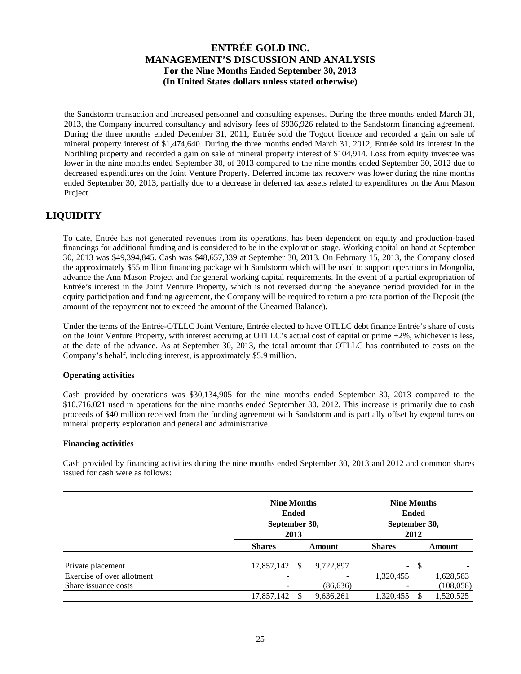the Sandstorm transaction and increased personnel and consulting expenses. During the three months ended March 31, 2013, the Company incurred consultancy and advisory fees of \$936,926 related to the Sandstorm financing agreement. During the three months ended December 31, 2011, Entrée sold the Togoot licence and recorded a gain on sale of mineral property interest of \$1,474,640. During the three months ended March 31, 2012, Entrée sold its interest in the Northling property and recorded a gain on sale of mineral property interest of \$104,914. Loss from equity investee was lower in the nine months ended September 30, of 2013 compared to the nine months ended September 30, 2012 due to decreased expenditures on the Joint Venture Property. Deferred income tax recovery was lower during the nine months ended September 30, 2013, partially due to a decrease in deferred tax assets related to expenditures on the Ann Mason Project.

# **LIQUIDITY**

To date, Entrée has not generated revenues from its operations, has been dependent on equity and production-based financings for additional funding and is considered to be in the exploration stage. Working capital on hand at September 30, 2013 was \$49,394,845. Cash was \$48,657,339 at September 30, 2013. On February 15, 2013, the Company closed the approximately \$55 million financing package with Sandstorm which will be used to support operations in Mongolia, advance the Ann Mason Project and for general working capital requirements. In the event of a partial expropriation of Entrée's interest in the Joint Venture Property, which is not reversed during the abeyance period provided for in the equity participation and funding agreement, the Company will be required to return a pro rata portion of the Deposit (the amount of the repayment not to exceed the amount of the Unearned Balance).

Under the terms of the Entrée-OTLLC Joint Venture, Entrée elected to have OTLLC debt finance Entrée's share of costs on the Joint Venture Property, with interest accruing at OTLLC's actual cost of capital or prime +2%, whichever is less, at the date of the advance. As at September 30, 2013, the total amount that OTLLC has contributed to costs on the Company's behalf, including interest, is approximately \$5.9 million.

### **Operating activities**

Cash provided by operations was \$30,134,905 for the nine months ended September 30, 2013 compared to the \$10,716,021 used in operations for the nine months ended September 30, 2012. This increase is primarily due to cash proceeds of \$40 million received from the funding agreement with Sandstorm and is partially offset by expenditures on mineral property exploration and general and administrative.

### **Financing activities**

Cash provided by financing activities during the nine months ended September 30, 2013 and 2012 and common shares issued for cash were as follows:

|                            | <b>Nine Months</b><br>September 30, | <b>Ended</b><br>2013 |           | <b>Nine Months</b><br><b>Ended</b><br>September 30,<br>2012 |     |            |  |
|----------------------------|-------------------------------------|----------------------|-----------|-------------------------------------------------------------|-----|------------|--|
|                            | <b>Shares</b>                       |                      | Amount    | <b>Shares</b>                                               |     | Amount     |  |
| Private placement          | 17,857,142 \$                       |                      | 9,722,897 | $\sim$                                                      | -\$ |            |  |
| Exercise of over allotment |                                     |                      |           | 1,320,455                                                   |     | 1,628,583  |  |
| Share issuance costs       |                                     |                      | (86, 636) | -                                                           |     | (108, 058) |  |
|                            | 17,857,142                          |                      | 9,636,261 | 1,320,455                                                   |     | 1,520,525  |  |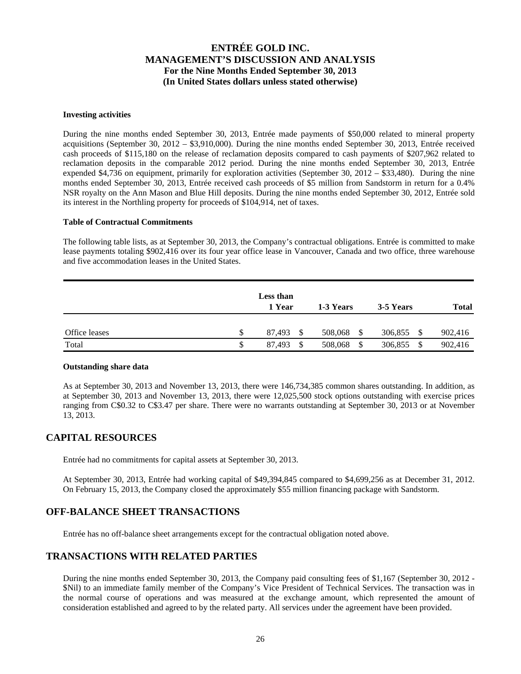#### **Investing activities**

During the nine months ended September 30, 2013, Entrée made payments of \$50,000 related to mineral property acquisitions (September 30, 2012 – \$3,910,000). During the nine months ended September 30, 2013, Entrée received cash proceeds of \$115,180 on the release of reclamation deposits compared to cash payments of \$207,962 related to reclamation deposits in the comparable 2012 period. During the nine months ended September 30, 2013, Entrée expended \$4,736 on equipment, primarily for exploration activities (September 30, 2012 – \$33,480). During the nine months ended September 30, 2013, Entrée received cash proceeds of \$5 million from Sandstorm in return for a 0.4% NSR royalty on the Ann Mason and Blue Hill deposits. During the nine months ended September 30, 2012, Entrée sold its interest in the Northling property for proceeds of \$104,914, net of taxes.

### **Table of Contractual Commitments**

The following table lists, as at September 30, 2013, the Company's contractual obligations. Entrée is committed to make lease payments totaling \$902,416 over its four year office lease in Vancouver, Canada and two office, three warehouse and five accommodation leases in the United States.

|               |    | Less than<br>1 Year | 1-3 Years     | 3-5 Years | <b>Total</b> |
|---------------|----|---------------------|---------------|-----------|--------------|
| Office leases | S  | 87.493<br>\$        | 508,068<br>\$ | 306,855   | 902,416      |
| Total         | \$ | 87.493<br>\$.       | -S<br>508,068 | 306,855   | 902,416      |

### **Outstanding share data**

As at September 30, 2013 and November 13, 2013, there were 146,734,385 common shares outstanding. In addition, as at September 30, 2013 and November 13, 2013, there were 12,025,500 stock options outstanding with exercise prices ranging from C\$0.32 to C\$3.47 per share. There were no warrants outstanding at September 30, 2013 or at November 13, 2013.

# **CAPITAL RESOURCES**

Entrée had no commitments for capital assets at September 30, 2013.

At September 30, 2013, Entrée had working capital of \$49,394,845 compared to \$4,699,256 as at December 31, 2012. On February 15, 2013, the Company closed the approximately \$55 million financing package with Sandstorm.

### **OFF-BALANCE SHEET TRANSACTIONS**

Entrée has no off-balance sheet arrangements except for the contractual obligation noted above.

# **TRANSACTIONS WITH RELATED PARTIES**

During the nine months ended September 30, 2013, the Company paid consulting fees of \$1,167 (September 30, 2012 - \$Nil) to an immediate family member of the Company's Vice President of Technical Services. The transaction was in the normal course of operations and was measured at the exchange amount, which represented the amount of consideration established and agreed to by the related party. All services under the agreement have been provided.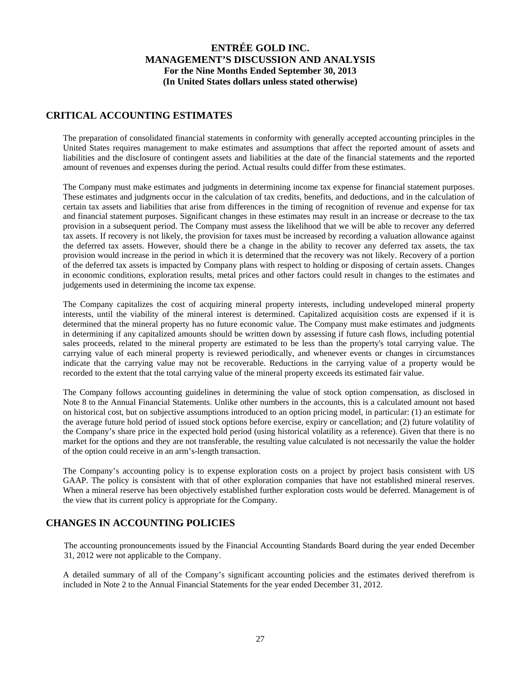## **CRITICAL ACCOUNTING ESTIMATES**

The preparation of consolidated financial statements in conformity with generally accepted accounting principles in the United States requires management to make estimates and assumptions that affect the reported amount of assets and liabilities and the disclosure of contingent assets and liabilities at the date of the financial statements and the reported amount of revenues and expenses during the period. Actual results could differ from these estimates.

The Company must make estimates and judgments in determining income tax expense for financial statement purposes. These estimates and judgments occur in the calculation of tax credits, benefits, and deductions, and in the calculation of certain tax assets and liabilities that arise from differences in the timing of recognition of revenue and expense for tax and financial statement purposes. Significant changes in these estimates may result in an increase or decrease to the tax provision in a subsequent period. The Company must assess the likelihood that we will be able to recover any deferred tax assets. If recovery is not likely, the provision for taxes must be increased by recording a valuation allowance against the deferred tax assets. However, should there be a change in the ability to recover any deferred tax assets, the tax provision would increase in the period in which it is determined that the recovery was not likely. Recovery of a portion of the deferred tax assets is impacted by Company plans with respect to holding or disposing of certain assets. Changes in economic conditions, exploration results, metal prices and other factors could result in changes to the estimates and judgements used in determining the income tax expense.

The Company capitalizes the cost of acquiring mineral property interests, including undeveloped mineral property interests, until the viability of the mineral interest is determined. Capitalized acquisition costs are expensed if it is determined that the mineral property has no future economic value. The Company must make estimates and judgments in determining if any capitalized amounts should be written down by assessing if future cash flows, including potential sales proceeds, related to the mineral property are estimated to be less than the property's total carrying value. The carrying value of each mineral property is reviewed periodically, and whenever events or changes in circumstances indicate that the carrying value may not be recoverable. Reductions in the carrying value of a property would be recorded to the extent that the total carrying value of the mineral property exceeds its estimated fair value.

The Company follows accounting guidelines in determining the value of stock option compensation, as disclosed in Note 8 to the Annual Financial Statements. Unlike other numbers in the accounts, this is a calculated amount not based on historical cost, but on subjective assumptions introduced to an option pricing model, in particular: (1) an estimate for the average future hold period of issued stock options before exercise, expiry or cancellation; and (2) future volatility of the Company's share price in the expected hold period (using historical volatility as a reference). Given that there is no market for the options and they are not transferable, the resulting value calculated is not necessarily the value the holder of the option could receive in an arm's-length transaction.

The Company's accounting policy is to expense exploration costs on a project by project basis consistent with US GAAP. The policy is consistent with that of other exploration companies that have not established mineral reserves. When a mineral reserve has been objectively established further exploration costs would be deferred. Management is of the view that its current policy is appropriate for the Company.

### **CHANGES IN ACCOUNTING POLICIES**

The accounting pronouncements issued by the Financial Accounting Standards Board during the year ended December 31, 2012 were not applicable to the Company.

A detailed summary of all of the Company's significant accounting policies and the estimates derived therefrom is included in Note 2 to the Annual Financial Statements for the year ended December 31, 2012.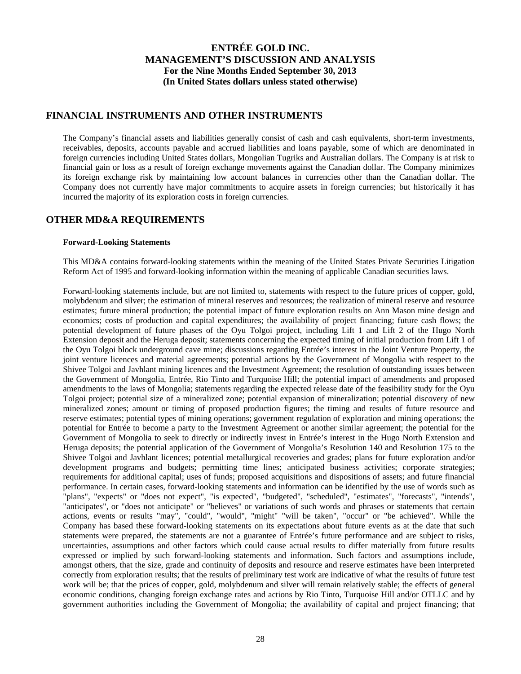### **FINANCIAL INSTRUMENTS AND OTHER INSTRUMENTS**

The Company's financial assets and liabilities generally consist of cash and cash equivalents, short-term investments, receivables, deposits, accounts payable and accrued liabilities and loans payable, some of which are denominated in foreign currencies including United States dollars, Mongolian Tugriks and Australian dollars. The Company is at risk to financial gain or loss as a result of foreign exchange movements against the Canadian dollar. The Company minimizes its foreign exchange risk by maintaining low account balances in currencies other than the Canadian dollar. The Company does not currently have major commitments to acquire assets in foreign currencies; but historically it has incurred the majority of its exploration costs in foreign currencies.

### **OTHER MD&A REQUIREMENTS**

### **Forward-Looking Statements**

This MD&A contains forward-looking statements within the meaning of the United States Private Securities Litigation Reform Act of 1995 and forward-looking information within the meaning of applicable Canadian securities laws.

Forward-looking statements include, but are not limited to, statements with respect to the future prices of copper, gold, molybdenum and silver; the estimation of mineral reserves and resources; the realization of mineral reserve and resource estimates; future mineral production; the potential impact of future exploration results on Ann Mason mine design and economics; costs of production and capital expenditures; the availability of project financing; future cash flows; the potential development of future phases of the Oyu Tolgoi project, including Lift 1 and Lift 2 of the Hugo North Extension deposit and the Heruga deposit; statements concerning the expected timing of initial production from Lift 1 of the Oyu Tolgoi block underground cave mine; discussions regarding Entrée's interest in the Joint Venture Property, the joint venture licences and material agreements; potential actions by the Government of Mongolia with respect to the Shivee Tolgoi and Javhlant mining licences and the Investment Agreement; the resolution of outstanding issues between the Government of Mongolia, Entrée, Rio Tinto and Turquoise Hill; the potential impact of amendments and proposed amendments to the laws of Mongolia; statements regarding the expected release date of the feasibility study for the Oyu Tolgoi project; potential size of a mineralized zone; potential expansion of mineralization; potential discovery of new mineralized zones; amount or timing of proposed production figures; the timing and results of future resource and reserve estimates; potential types of mining operations; government regulation of exploration and mining operations; the potential for Entrée to become a party to the Investment Agreement or another similar agreement; the potential for the Government of Mongolia to seek to directly or indirectly invest in Entrée's interest in the Hugo North Extension and Heruga deposits; the potential application of the Government of Mongolia's Resolution 140 and Resolution 175 to the Shivee Tolgoi and Javhlant licences; potential metallurgical recoveries and grades; plans for future exploration and/or development programs and budgets; permitting time lines; anticipated business activities; corporate strategies; requirements for additional capital; uses of funds; proposed acquisitions and dispositions of assets; and future financial performance. In certain cases, forward-looking statements and information can be identified by the use of words such as "plans", "expects" or "does not expect", "is expected", "budgeted", "scheduled", "estimates", "forecasts", "intends", "anticipates", or "does not anticipate" or "believes" or variations of such words and phrases or statements that certain actions, events or results "may", "could", "would", "might" "will be taken", "occur" or "be achieved". While the Company has based these forward-looking statements on its expectations about future events as at the date that such statements were prepared, the statements are not a guarantee of Entrée's future performance and are subject to risks, uncertainties, assumptions and other factors which could cause actual results to differ materially from future results expressed or implied by such forward-looking statements and information. Such factors and assumptions include, amongst others, that the size, grade and continuity of deposits and resource and reserve estimates have been interpreted correctly from exploration results; that the results of preliminary test work are indicative of what the results of future test work will be; that the prices of copper, gold, molybdenum and silver will remain relatively stable; the effects of general economic conditions, changing foreign exchange rates and actions by Rio Tinto, Turquoise Hill and/or OTLLC and by government authorities including the Government of Mongolia; the availability of capital and project financing; that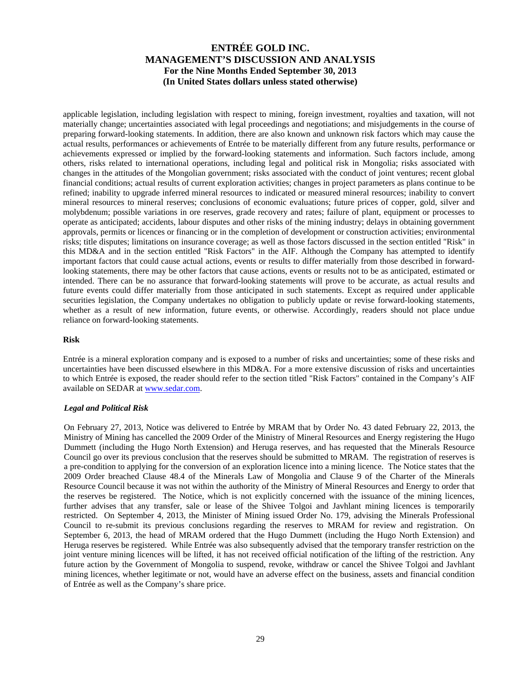applicable legislation, including legislation with respect to mining, foreign investment, royalties and taxation, will not materially change; uncertainties associated with legal proceedings and negotiations; and misjudgements in the course of preparing forward-looking statements. In addition, there are also known and unknown risk factors which may cause the actual results, performances or achievements of Entrée to be materially different from any future results, performance or achievements expressed or implied by the forward-looking statements and information. Such factors include, among others, risks related to international operations, including legal and political risk in Mongolia; risks associated with changes in the attitudes of the Mongolian government; risks associated with the conduct of joint ventures; recent global financial conditions; actual results of current exploration activities; changes in project parameters as plans continue to be refined; inability to upgrade inferred mineral resources to indicated or measured mineral resources; inability to convert mineral resources to mineral reserves; conclusions of economic evaluations; future prices of copper, gold, silver and molybdenum; possible variations in ore reserves, grade recovery and rates; failure of plant, equipment or processes to operate as anticipated; accidents, labour disputes and other risks of the mining industry; delays in obtaining government approvals, permits or licences or financing or in the completion of development or construction activities; environmental risks; title disputes; limitations on insurance coverage; as well as those factors discussed in the section entitled "Risk" in this MD&A and in the section entitled "Risk Factors" in the AIF. Although the Company has attempted to identify important factors that could cause actual actions, events or results to differ materially from those described in forwardlooking statements, there may be other factors that cause actions, events or results not to be as anticipated, estimated or intended. There can be no assurance that forward-looking statements will prove to be accurate, as actual results and future events could differ materially from those anticipated in such statements. Except as required under applicable securities legislation, the Company undertakes no obligation to publicly update or revise forward-looking statements, whether as a result of new information, future events, or otherwise. Accordingly, readers should not place undue reliance on forward-looking statements.

### **Risk**

Entrée is a mineral exploration company and is exposed to a number of risks and uncertainties; some of these risks and uncertainties have been discussed elsewhere in this MD&A. For a more extensive discussion of risks and uncertainties to which Entrée is exposed, the reader should refer to the section titled "Risk Factors" contained in the Company's AIF available on SEDAR at www.sedar.com.

### *Legal and Political Risk*

On February 27, 2013, Notice was delivered to Entrée by MRAM that by Order No. 43 dated February 22, 2013, the Ministry of Mining has cancelled the 2009 Order of the Ministry of Mineral Resources and Energy registering the Hugo Dummett (including the Hugo North Extension) and Heruga reserves, and has requested that the Minerals Resource Council go over its previous conclusion that the reserves should be submitted to MRAM. The registration of reserves is a pre-condition to applying for the conversion of an exploration licence into a mining licence. The Notice states that the 2009 Order breached Clause 48.4 of the Minerals Law of Mongolia and Clause 9 of the Charter of the Minerals Resource Council because it was not within the authority of the Ministry of Mineral Resources and Energy to order that the reserves be registered. The Notice, which is not explicitly concerned with the issuance of the mining licences, further advises that any transfer, sale or lease of the Shivee Tolgoi and Javhlant mining licences is temporarily restricted. On September 4, 2013, the Minister of Mining issued Order No. 179, advising the Minerals Professional Council to re-submit its previous conclusions regarding the reserves to MRAM for review and registration. On September 6, 2013, the head of MRAM ordered that the Hugo Dummett (including the Hugo North Extension) and Heruga reserves be registered. While Entrée was also subsequently advised that the temporary transfer restriction on the joint venture mining licences will be lifted, it has not received official notification of the lifting of the restriction. Any future action by the Government of Mongolia to suspend, revoke, withdraw or cancel the Shivee Tolgoi and Javhlant mining licences, whether legitimate or not, would have an adverse effect on the business, assets and financial condition of Entrée as well as the Company's share price.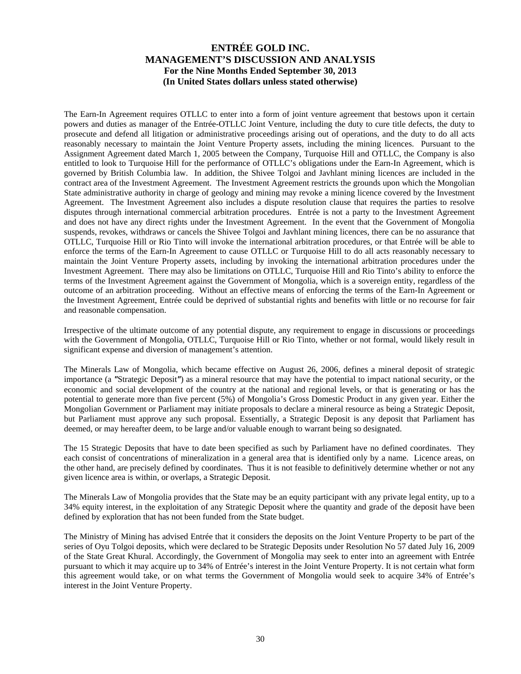The Earn-In Agreement requires OTLLC to enter into a form of joint venture agreement that bestows upon it certain powers and duties as manager of the Entrée-OTLLC Joint Venture, including the duty to cure title defects, the duty to prosecute and defend all litigation or administrative proceedings arising out of operations, and the duty to do all acts reasonably necessary to maintain the Joint Venture Property assets, including the mining licences. Pursuant to the Assignment Agreement dated March 1, 2005 between the Company, Turquoise Hill and OTLLC, the Company is also entitled to look to Turquoise Hill for the performance of OTLLC's obligations under the Earn-In Agreement, which is governed by British Columbia law. In addition, the Shivee Tolgoi and Javhlant mining licences are included in the contract area of the Investment Agreement. The Investment Agreement restricts the grounds upon which the Mongolian State administrative authority in charge of geology and mining may revoke a mining licence covered by the Investment Agreement. The Investment Agreement also includes a dispute resolution clause that requires the parties to resolve disputes through international commercial arbitration procedures. Entrée is not a party to the Investment Agreement and does not have any direct rights under the Investment Agreement. In the event that the Government of Mongolia suspends, revokes, withdraws or cancels the Shivee Tolgoi and Javhlant mining licences, there can be no assurance that OTLLC, Turquoise Hill or Rio Tinto will invoke the international arbitration procedures, or that Entrée will be able to enforce the terms of the Earn-In Agreement to cause OTLLC or Turquoise Hill to do all acts reasonably necessary to maintain the Joint Venture Property assets, including by invoking the international arbitration procedures under the Investment Agreement. There may also be limitations on OTLLC, Turquoise Hill and Rio Tinto's ability to enforce the terms of the Investment Agreement against the Government of Mongolia, which is a sovereign entity, regardless of the outcome of an arbitration proceeding. Without an effective means of enforcing the terms of the Earn-In Agreement or the Investment Agreement, Entrée could be deprived of substantial rights and benefits with little or no recourse for fair and reasonable compensation.

Irrespective of the ultimate outcome of any potential dispute, any requirement to engage in discussions or proceedings with the Government of Mongolia, OTLLC, Turquoise Hill or Rio Tinto, whether or not formal, would likely result in significant expense and diversion of management's attention.

The Minerals Law of Mongolia, which became effective on August 26, 2006, defines a mineral deposit of strategic importance (a *"*Strategic Deposit*"*) as a mineral resource that may have the potential to impact national security, or the economic and social development of the country at the national and regional levels, or that is generating or has the potential to generate more than five percent (5%) of Mongolia's Gross Domestic Product in any given year. Either the Mongolian Government or Parliament may initiate proposals to declare a mineral resource as being a Strategic Deposit, but Parliament must approve any such proposal. Essentially, a Strategic Deposit is any deposit that Parliament has deemed, or may hereafter deem, to be large and/or valuable enough to warrant being so designated.

The 15 Strategic Deposits that have to date been specified as such by Parliament have no defined coordinates. They each consist of concentrations of mineralization in a general area that is identified only by a name. Licence areas, on the other hand, are precisely defined by coordinates. Thus it is not feasible to definitively determine whether or not any given licence area is within, or overlaps, a Strategic Deposit.

The Minerals Law of Mongolia provides that the State may be an equity participant with any private legal entity, up to a 34% equity interest, in the exploitation of any Strategic Deposit where the quantity and grade of the deposit have been defined by exploration that has not been funded from the State budget.

The Ministry of Mining has advised Entrée that it considers the deposits on the Joint Venture Property to be part of the series of Oyu Tolgoi deposits, which were declared to be Strategic Deposits under Resolution No 57 dated July 16, 2009 of the State Great Khural. Accordingly, the Government of Mongolia may seek to enter into an agreement with Entrée pursuant to which it may acquire up to 34% of Entrée's interest in the Joint Venture Property. It is not certain what form this agreement would take, or on what terms the Government of Mongolia would seek to acquire 34% of Entrée's interest in the Joint Venture Property.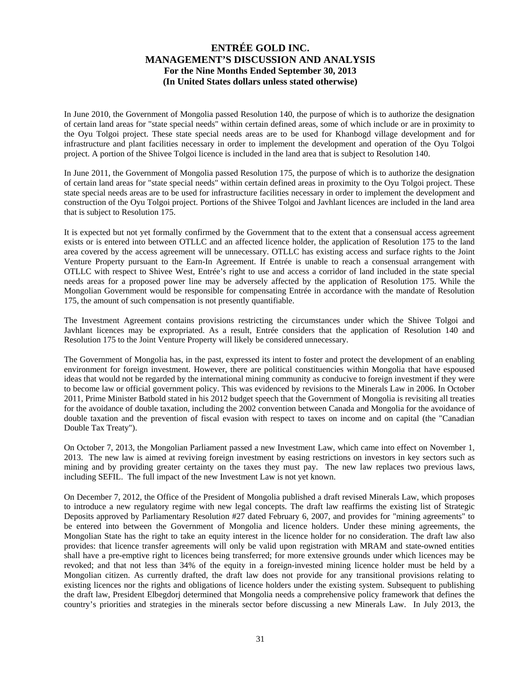In June 2010, the Government of Mongolia passed Resolution 140, the purpose of which is to authorize the designation of certain land areas for "state special needs" within certain defined areas, some of which include or are in proximity to the Oyu Tolgoi project. These state special needs areas are to be used for Khanbogd village development and for infrastructure and plant facilities necessary in order to implement the development and operation of the Oyu Tolgoi project. A portion of the Shivee Tolgoi licence is included in the land area that is subject to Resolution 140.

In June 2011, the Government of Mongolia passed Resolution 175, the purpose of which is to authorize the designation of certain land areas for "state special needs" within certain defined areas in proximity to the Oyu Tolgoi project. These state special needs areas are to be used for infrastructure facilities necessary in order to implement the development and construction of the Oyu Tolgoi project. Portions of the Shivee Tolgoi and Javhlant licences are included in the land area that is subject to Resolution 175.

It is expected but not yet formally confirmed by the Government that to the extent that a consensual access agreement exists or is entered into between OTLLC and an affected licence holder, the application of Resolution 175 to the land area covered by the access agreement will be unnecessary. OTLLC has existing access and surface rights to the Joint Venture Property pursuant to the Earn-In Agreement. If Entrée is unable to reach a consensual arrangement with OTLLC with respect to Shivee West, Entrée's right to use and access a corridor of land included in the state special needs areas for a proposed power line may be adversely affected by the application of Resolution 175. While the Mongolian Government would be responsible for compensating Entrée in accordance with the mandate of Resolution 175, the amount of such compensation is not presently quantifiable.

The Investment Agreement contains provisions restricting the circumstances under which the Shivee Tolgoi and Javhlant licences may be expropriated. As a result, Entrée considers that the application of Resolution 140 and Resolution 175 to the Joint Venture Property will likely be considered unnecessary.

The Government of Mongolia has, in the past, expressed its intent to foster and protect the development of an enabling environment for foreign investment. However, there are political constituencies within Mongolia that have espoused ideas that would not be regarded by the international mining community as conducive to foreign investment if they were to become law or official government policy. This was evidenced by revisions to the Minerals Law in 2006. In October 2011, Prime Minister Batbold stated in his 2012 budget speech that the Government of Mongolia is revisiting all treaties for the avoidance of double taxation, including the 2002 convention between Canada and Mongolia for the avoidance of double taxation and the prevention of fiscal evasion with respect to taxes on income and on capital (the "Canadian Double Tax Treaty").

On October 7, 2013, the Mongolian Parliament passed a new Investment Law, which came into effect on November 1, 2013. The new law is aimed at reviving foreign investment by easing restrictions on investors in key sectors such as mining and by providing greater certainty on the taxes they must pay. The new law replaces two previous laws, including SEFIL. The full impact of the new Investment Law is not yet known.

On December 7, 2012, the Office of the President of Mongolia published a draft revised Minerals Law, which proposes to introduce a new regulatory regime with new legal concepts. The draft law reaffirms the existing list of Strategic Deposits approved by Parliamentary Resolution #27 dated February 6, 2007, and provides for "mining agreements" to be entered into between the Government of Mongolia and licence holders. Under these mining agreements, the Mongolian State has the right to take an equity interest in the licence holder for no consideration. The draft law also provides: that licence transfer agreements will only be valid upon registration with MRAM and state-owned entities shall have a pre-emptive right to licences being transferred; for more extensive grounds under which licences may be revoked; and that not less than 34% of the equity in a foreign-invested mining licence holder must be held by a Mongolian citizen. As currently drafted, the draft law does not provide for any transitional provisions relating to existing licences nor the rights and obligations of licence holders under the existing system. Subsequent to publishing the draft law, President Elbegdorj determined that Mongolia needs a comprehensive policy framework that defines the country's priorities and strategies in the minerals sector before discussing a new Minerals Law. In July 2013, the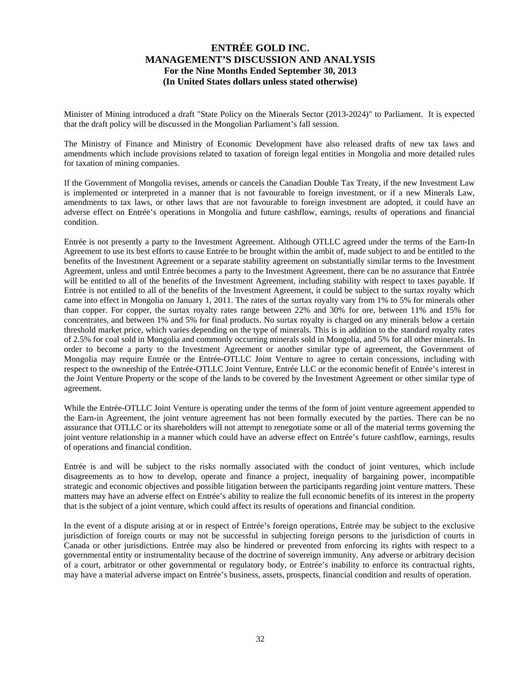Minister of Mining introduced a draft "State Policy on the Minerals Sector (2013-2024)" to Parliament. It is expected that the draft policy will be discussed in the Mongolian Parliament's fall session.

The Ministry of Finance and Ministry of Economic Development have also released drafts of new tax laws and amendments which include provisions related to taxation of foreign legal entities in Mongolia and more detailed rules for taxation of mining companies.

If the Government of Mongolia revises, amends or cancels the Canadian Double Tax Treaty, if the new Investment Law is implemented or interpreted in a manner that is not favourable to foreign investment, or if a new Minerals Law, amendments to tax laws, or other laws that are not favourable to foreign investment are adopted, it could have an adverse effect on Entrée's operations in Mongolia and future cashflow, earnings, results of operations and financial condition.

Entrée is not presently a party to the Investment Agreement. Although OTLLC agreed under the terms of the Earn-In Agreement to use its best efforts to cause Entrée to be brought within the ambit of, made subject to and be entitled to the benefits of the Investment Agreement or a separate stability agreement on substantially similar terms to the Investment Agreement, unless and until Entrée becomes a party to the Investment Agreement, there can be no assurance that Entrée will be entitled to all of the benefits of the Investment Agreement, including stability with respect to taxes payable. If Entrée is not entitled to all of the benefits of the Investment Agreement, it could be subject to the surtax royalty which came into effect in Mongolia on January 1, 2011. The rates of the surtax royalty vary from 1% to 5% for minerals other than copper. For copper, the surtax royalty rates range between 22% and 30% for ore, between 11% and 15% for concentrates, and between 1% and 5% for final products. No surtax royalty is charged on any minerals below a certain threshold market price, which varies depending on the type of minerals. This is in addition to the standard royalty rates of 2.5% for coal sold in Mongolia and commonly occurring minerals sold in Mongolia, and 5% for all other minerals. In order to become a party to the Investment Agreement or another similar type of agreement, the Government of Mongolia may require Entrée or the Entrée-OTLLC Joint Venture to agree to certain concessions, including with respect to the ownership of the Entrée-OTLLC Joint Venture, Entrée LLC or the economic benefit of Entrée's interest in the Joint Venture Property or the scope of the lands to be covered by the Investment Agreement or other similar type of agreement.

While the Entrée-OTLLC Joint Venture is operating under the terms of the form of joint venture agreement appended to the Earn-in Agreement, the joint venture agreement has not been formally executed by the parties. There can be no assurance that OTLLC or its shareholders will not attempt to renegotiate some or all of the material terms governing the joint venture relationship in a manner which could have an adverse effect on Entrée's future cashflow, earnings, results of operations and financial condition.

Entrée is and will be subject to the risks normally associated with the conduct of joint ventures, which include disagreements as to how to develop, operate and finance a project, inequality of bargaining power, incompatible strategic and economic objectives and possible litigation between the participants regarding joint venture matters. These matters may have an adverse effect on Entrée's ability to realize the full economic benefits of its interest in the property that is the subject of a joint venture, which could affect its results of operations and financial condition.

In the event of a dispute arising at or in respect of Entrée's foreign operations, Entrée may be subject to the exclusive jurisdiction of foreign courts or may not be successful in subjecting foreign persons to the jurisdiction of courts in Canada or other jurisdictions. Entrée may also be hindered or prevented from enforcing its rights with respect to a governmental entity or instrumentality because of the doctrine of sovereign immunity. Any adverse or arbitrary decision of a court, arbitrator or other governmental or regulatory body, or Entrée's inability to enforce its contractual rights, may have a material adverse impact on Entrée's business, assets, prospects, financial condition and results of operation.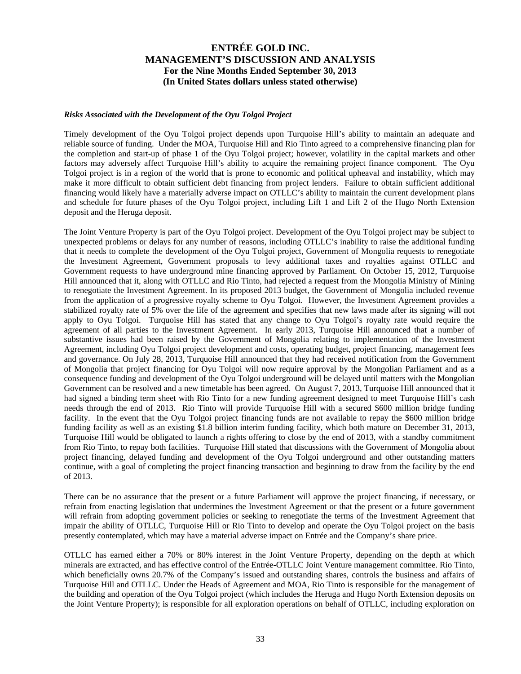#### *Risks Associated with the Development of the Oyu Tolgoi Project*

Timely development of the Oyu Tolgoi project depends upon Turquoise Hill's ability to maintain an adequate and reliable source of funding. Under the MOA, Turquoise Hill and Rio Tinto agreed to a comprehensive financing plan for the completion and start-up of phase 1 of the Oyu Tolgoi project; however, volatility in the capital markets and other factors may adversely affect Turquoise Hill's ability to acquire the remaining project finance component. The Oyu Tolgoi project is in a region of the world that is prone to economic and political upheaval and instability, which may make it more difficult to obtain sufficient debt financing from project lenders. Failure to obtain sufficient additional financing would likely have a materially adverse impact on OTLLC's ability to maintain the current development plans and schedule for future phases of the Oyu Tolgoi project, including Lift 1 and Lift 2 of the Hugo North Extension deposit and the Heruga deposit.

The Joint Venture Property is part of the Oyu Tolgoi project. Development of the Oyu Tolgoi project may be subject to unexpected problems or delays for any number of reasons, including OTLLC's inability to raise the additional funding that it needs to complete the development of the Oyu Tolgoi project, Government of Mongolia requests to renegotiate the Investment Agreement, Government proposals to levy additional taxes and royalties against OTLLC and Government requests to have underground mine financing approved by Parliament. On October 15, 2012, Turquoise Hill announced that it, along with OTLLC and Rio Tinto, had rejected a request from the Mongolia Ministry of Mining to renegotiate the Investment Agreement. In its proposed 2013 budget, the Government of Mongolia included revenue from the application of a progressive royalty scheme to Oyu Tolgoi. However, the Investment Agreement provides a stabilized royalty rate of 5% over the life of the agreement and specifies that new laws made after its signing will not apply to Oyu Tolgoi. Turquoise Hill has stated that any change to Oyu Tolgoi's royalty rate would require the agreement of all parties to the Investment Agreement. In early 2013, Turquoise Hill announced that a number of substantive issues had been raised by the Government of Mongolia relating to implementation of the Investment Agreement, including Oyu Tolgoi project development and costs, operating budget, project financing, management fees and governance. On July 28, 2013, Turquoise Hill announced that they had received notification from the Government of Mongolia that project financing for Oyu Tolgoi will now require approval by the Mongolian Parliament and as a consequence funding and development of the Oyu Tolgoi underground will be delayed until matters with the Mongolian Government can be resolved and a new timetable has been agreed. On August 7, 2013, Turquoise Hill announced that it had signed a binding term sheet with Rio Tinto for a new funding agreement designed to meet Turquoise Hill's cash needs through the end of 2013. Rio Tinto will provide Turquoise Hill with a secured \$600 million bridge funding facility. In the event that the Oyu Tolgoi project financing funds are not available to repay the \$600 million bridge funding facility as well as an existing \$1.8 billion interim funding facility, which both mature on December 31, 2013, Turquoise Hill would be obligated to launch a rights offering to close by the end of 2013, with a standby commitment from Rio Tinto, to repay both facilities. Turquoise Hill stated that discussions with the Government of Mongolia about project financing, delayed funding and development of the Oyu Tolgoi underground and other outstanding matters continue, with a goal of completing the project financing transaction and beginning to draw from the facility by the end of 2013.

There can be no assurance that the present or a future Parliament will approve the project financing, if necessary, or refrain from enacting legislation that undermines the Investment Agreement or that the present or a future government will refrain from adopting government policies or seeking to renegotiate the terms of the Investment Agreement that impair the ability of OTLLC, Turquoise Hill or Rio Tinto to develop and operate the Oyu Tolgoi project on the basis presently contemplated, which may have a material adverse impact on Entrée and the Company's share price.

OTLLC has earned either a 70% or 80% interest in the Joint Venture Property, depending on the depth at which minerals are extracted, and has effective control of the Entrée-OTLLC Joint Venture management committee. Rio Tinto, which beneficially owns 20.7% of the Company's issued and outstanding shares, controls the business and affairs of Turquoise Hill and OTLLC. Under the Heads of Agreement and MOA, Rio Tinto is responsible for the management of the building and operation of the Oyu Tolgoi project (which includes the Heruga and Hugo North Extension deposits on the Joint Venture Property); is responsible for all exploration operations on behalf of OTLLC, including exploration on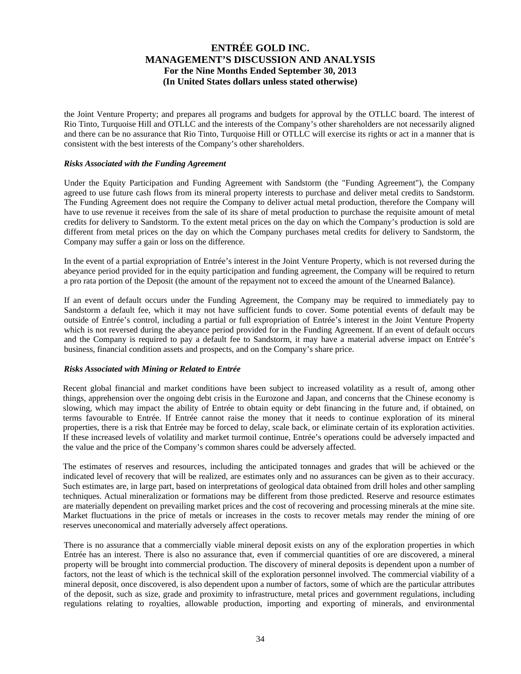the Joint Venture Property; and prepares all programs and budgets for approval by the OTLLC board. The interest of Rio Tinto, Turquoise Hill and OTLLC and the interests of the Company's other shareholders are not necessarily aligned and there can be no assurance that Rio Tinto, Turquoise Hill or OTLLC will exercise its rights or act in a manner that is consistent with the best interests of the Company's other shareholders.

### *Risks Associated with the Funding Agreement*

Under the Equity Participation and Funding Agreement with Sandstorm (the "Funding Agreement"), the Company agreed to use future cash flows from its mineral property interests to purchase and deliver metal credits to Sandstorm. The Funding Agreement does not require the Company to deliver actual metal production, therefore the Company will have to use revenue it receives from the sale of its share of metal production to purchase the requisite amount of metal credits for delivery to Sandstorm. To the extent metal prices on the day on which the Company's production is sold are different from metal prices on the day on which the Company purchases metal credits for delivery to Sandstorm, the Company may suffer a gain or loss on the difference.

In the event of a partial expropriation of Entrée's interest in the Joint Venture Property, which is not reversed during the abeyance period provided for in the equity participation and funding agreement, the Company will be required to return a pro rata portion of the Deposit (the amount of the repayment not to exceed the amount of the Unearned Balance).

If an event of default occurs under the Funding Agreement, the Company may be required to immediately pay to Sandstorm a default fee, which it may not have sufficient funds to cover. Some potential events of default may be outside of Entrée's control, including a partial or full expropriation of Entrée's interest in the Joint Venture Property which is not reversed during the abeyance period provided for in the Funding Agreement. If an event of default occurs and the Company is required to pay a default fee to Sandstorm, it may have a material adverse impact on Entrée's business, financial condition assets and prospects, and on the Company's share price.

#### *Risks Associated with Mining or Related to Entrée*

Recent global financial and market conditions have been subject to increased volatility as a result of, among other things, apprehension over the ongoing debt crisis in the Eurozone and Japan, and concerns that the Chinese economy is slowing, which may impact the ability of Entrée to obtain equity or debt financing in the future and, if obtained, on terms favourable to Entrée. If Entrée cannot raise the money that it needs to continue exploration of its mineral properties, there is a risk that Entrée may be forced to delay, scale back, or eliminate certain of its exploration activities. If these increased levels of volatility and market turmoil continue, Entrée's operations could be adversely impacted and the value and the price of the Company's common shares could be adversely affected.

The estimates of reserves and resources, including the anticipated tonnages and grades that will be achieved or the indicated level of recovery that will be realized, are estimates only and no assurances can be given as to their accuracy. Such estimates are, in large part, based on interpretations of geological data obtained from drill holes and other sampling techniques. Actual mineralization or formations may be different from those predicted. Reserve and resource estimates are materially dependent on prevailing market prices and the cost of recovering and processing minerals at the mine site. Market fluctuations in the price of metals or increases in the costs to recover metals may render the mining of ore reserves uneconomical and materially adversely affect operations.

There is no assurance that a commercially viable mineral deposit exists on any of the exploration properties in which Entrée has an interest. There is also no assurance that, even if commercial quantities of ore are discovered, a mineral property will be brought into commercial production. The discovery of mineral deposits is dependent upon a number of factors, not the least of which is the technical skill of the exploration personnel involved. The commercial viability of a mineral deposit, once discovered, is also dependent upon a number of factors, some of which are the particular attributes of the deposit, such as size, grade and proximity to infrastructure, metal prices and government regulations, including regulations relating to royalties, allowable production, importing and exporting of minerals, and environmental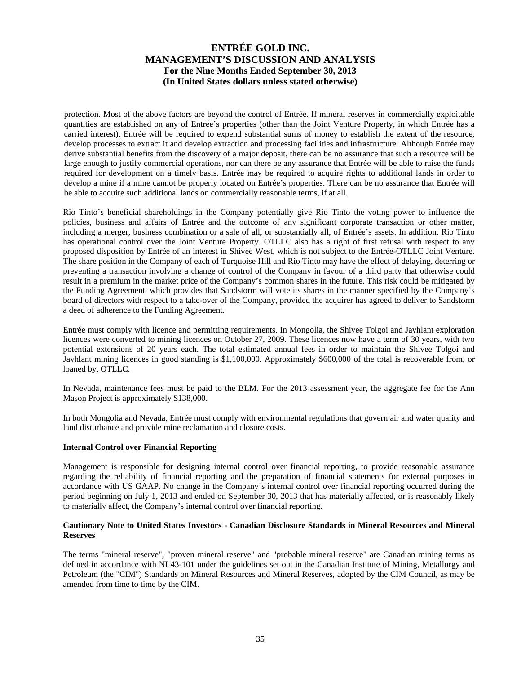protection. Most of the above factors are beyond the control of Entrée. If mineral reserves in commercially exploitable quantities are established on any of Entrée's properties (other than the Joint Venture Property, in which Entrée has a carried interest), Entrée will be required to expend substantial sums of money to establish the extent of the resource, develop processes to extract it and develop extraction and processing facilities and infrastructure. Although Entrée may derive substantial benefits from the discovery of a major deposit, there can be no assurance that such a resource will be large enough to justify commercial operations, nor can there be any assurance that Entrée will be able to raise the funds required for development on a timely basis. Entrée may be required to acquire rights to additional lands in order to develop a mine if a mine cannot be properly located on Entrée's properties. There can be no assurance that Entrée will be able to acquire such additional lands on commercially reasonable terms, if at all.

Rio Tinto's beneficial shareholdings in the Company potentially give Rio Tinto the voting power to influence the policies, business and affairs of Entrée and the outcome of any significant corporate transaction or other matter, including a merger, business combination or a sale of all, or substantially all, of Entrée's assets. In addition, Rio Tinto has operational control over the Joint Venture Property. OTLLC also has a right of first refusal with respect to any proposed disposition by Entrée of an interest in Shivee West, which is not subject to the Entrée-OTLLC Joint Venture. The share position in the Company of each of Turquoise Hill and Rio Tinto may have the effect of delaying, deterring or preventing a transaction involving a change of control of the Company in favour of a third party that otherwise could result in a premium in the market price of the Company's common shares in the future. This risk could be mitigated by the Funding Agreement, which provides that Sandstorm will vote its shares in the manner specified by the Company's board of directors with respect to a take-over of the Company, provided the acquirer has agreed to deliver to Sandstorm a deed of adherence to the Funding Agreement.

Entrée must comply with licence and permitting requirements. In Mongolia, the Shivee Tolgoi and Javhlant exploration licences were converted to mining licences on October 27, 2009. These licences now have a term of 30 years, with two potential extensions of 20 years each. The total estimated annual fees in order to maintain the Shivee Tolgoi and Javhlant mining licences in good standing is \$1,100,000. Approximately \$600,000 of the total is recoverable from, or loaned by, OTLLC.

In Nevada, maintenance fees must be paid to the BLM. For the 2013 assessment year, the aggregate fee for the Ann Mason Project is approximately \$138,000.

In both Mongolia and Nevada, Entrée must comply with environmental regulations that govern air and water quality and land disturbance and provide mine reclamation and closure costs.

#### **Internal Control over Financial Reporting**

Management is responsible for designing internal control over financial reporting, to provide reasonable assurance regarding the reliability of financial reporting and the preparation of financial statements for external purposes in accordance with US GAAP. No change in the Company's internal control over financial reporting occurred during the period beginning on July 1, 2013 and ended on September 30, 2013 that has materially affected, or is reasonably likely to materially affect, the Company's internal control over financial reporting.

### **Cautionary Note to United States Investors - Canadian Disclosure Standards in Mineral Resources and Mineral Reserves**

The terms "mineral reserve", "proven mineral reserve" and "probable mineral reserve" are Canadian mining terms as defined in accordance with NI 43-101 under the guidelines set out in the Canadian Institute of Mining, Metallurgy and Petroleum (the "CIM") Standards on Mineral Resources and Mineral Reserves, adopted by the CIM Council, as may be amended from time to time by the CIM.